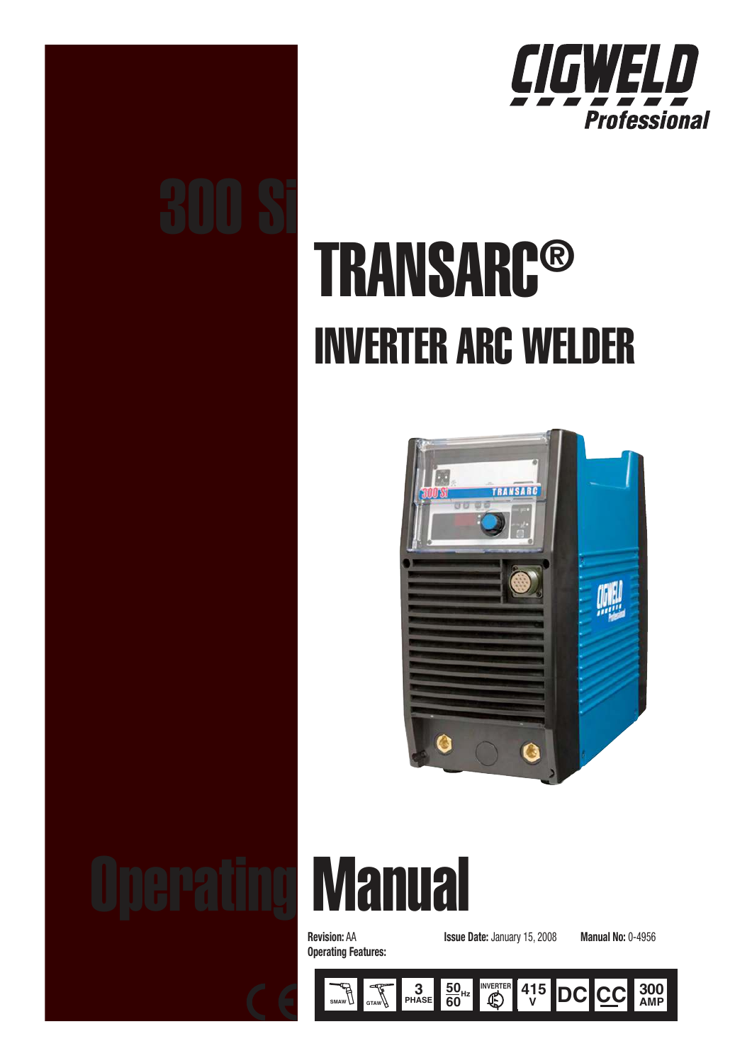

# 300 Si

# **TRANSARC®** INVERTER ARC WELDER



# **Manual**

**Operating Features:** 

Revision: AA Issue Date: January 15, 2008 Manual No: 0-4956

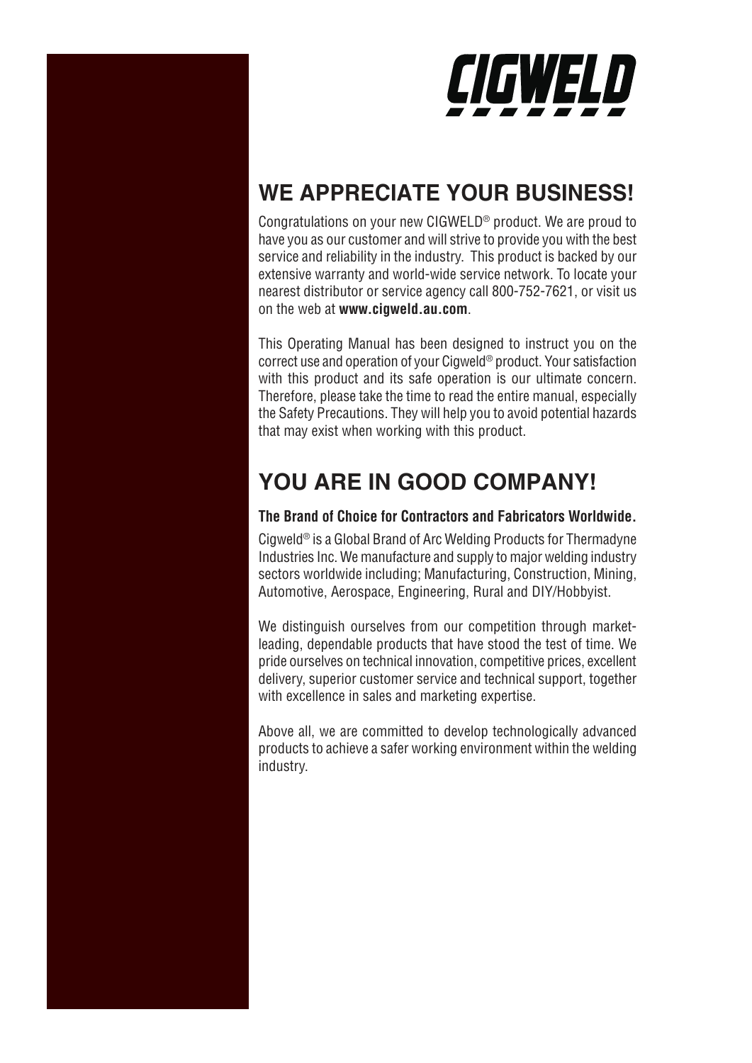

# **WE APPRECIATE YOUR BUSINESS!**

Congratulations on your new CIGWELD® product. We are proud to have you as our customer and will strive to provide you with the best service and reliability in the industry. This product is backed by our extensive warranty and world-wide service network. To locate your nearest distributor or service agency call 800-752-7621, or visit us on the web at **www.cigweld.au.com**.

This Operating Manual has been designed to instruct you on the correct use and operation of your Cigweld® product. Your satisfaction with this product and its safe operation is our ultimate concern. Therefore, please take the time to read the entire manual, especially the Safety Precautions. They will help you to avoid potential hazards that may exist when working with this product.

# **YOU ARE IN GOOD COMPANY!**

# **The Brand of Choice for Contractors and Fabricators Worldwide.**

Cigweld® is a Global Brand of Arc Welding Products for Thermadyne Industries Inc. We manufacture and supply to major welding industry sectors worldwide including; Manufacturing, Construction, Mining, Automotive, Aerospace, Engineering, Rural and DIY/Hobbyist.

We distinguish ourselves from our competition through marketleading, dependable products that have stood the test of time. We pride ourselves on technical innovation, competitive prices, excellent delivery, superior customer service and technical support, together with excellence in sales and marketing expertise.

Above all, we are committed to develop technologically advanced products to achieve a safer working environment within the welding industry.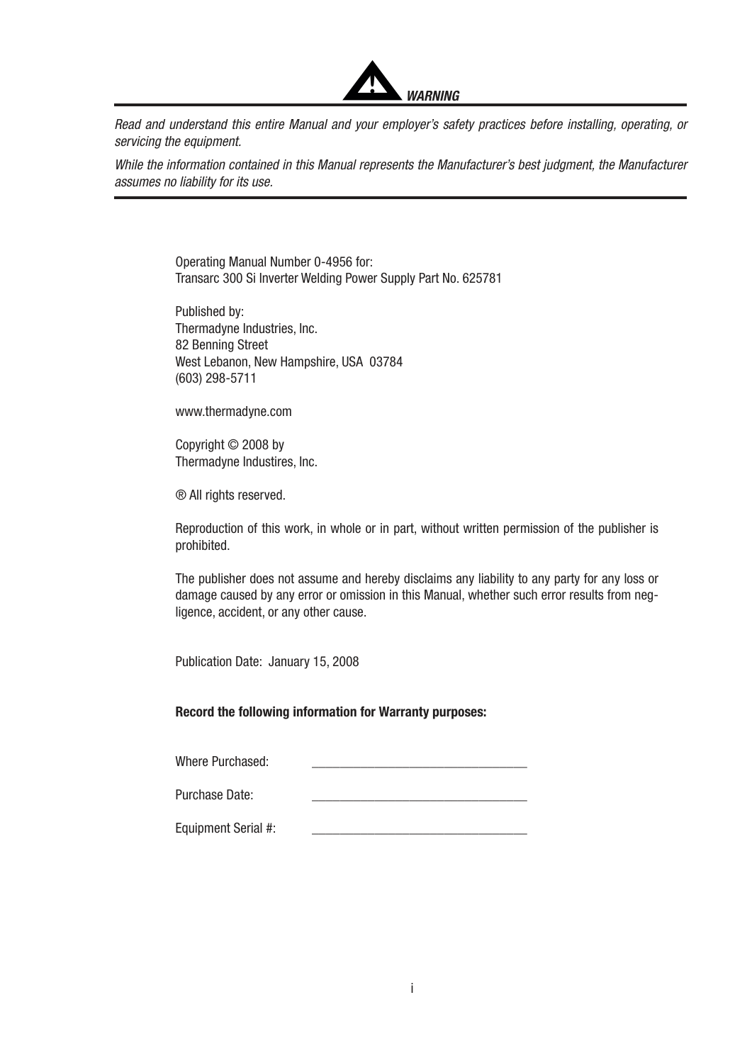

Read and understand this entire Manual and your employer's safety practices before installing, operating, or servicing the equipment.

While the information contained in this Manual represents the Manufacturer's best judgment, the Manufacturer assumes no liability for its use.

> Operating Manual Number 0-4956 for: Transarc 300 Si Inverter Welding Power Supply Part No. 625781

Published by: Thermadyne Industries, Inc. 82 Benning Street West Lebanon, New Hampshire, USA 03784 (603) 298-5711

www.thermadyne.com

Copyright © 2008 by Thermadyne Industires, Inc.

® All rights reserved.

Reproduction of this work, in whole or in part, without written permission of the publisher is prohibited.

The publisher does not assume and hereby disclaims any liability to any party for any loss or damage caused by any error or omission in this Manual, whether such error results from negligence, accident, or any other cause.

Publication Date: January 15, 2008

### Record the following information for Warranty purposes:

Where Purchased:

Purchase Date:

Equipment Serial #: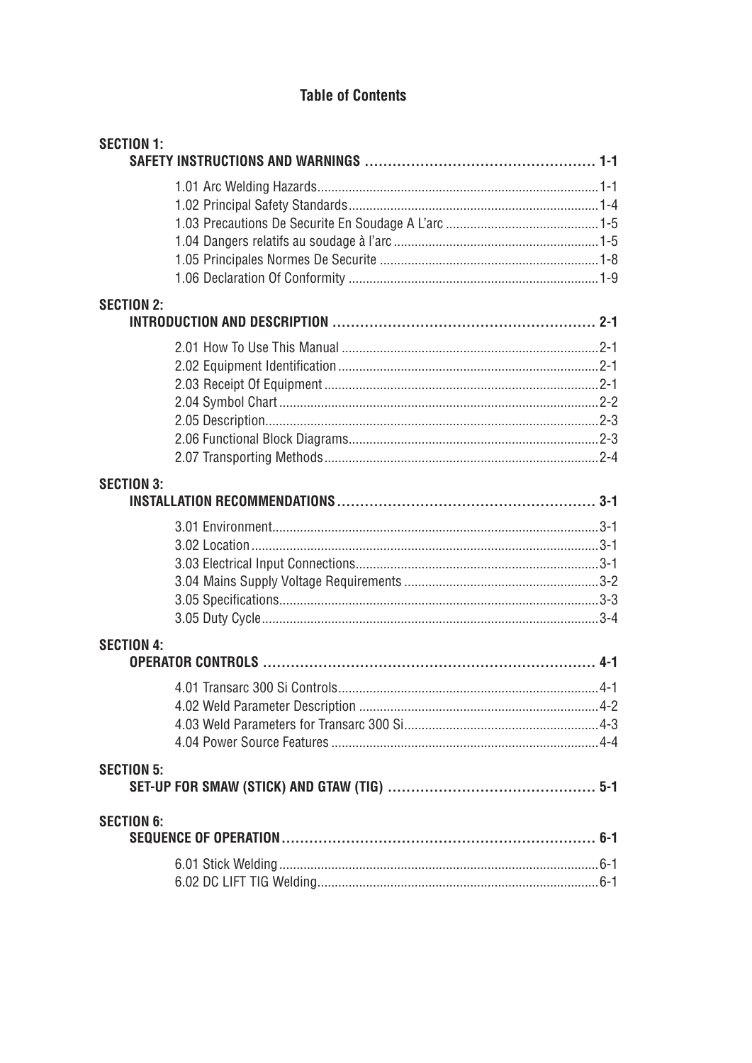# **Table of Contents**

| <b>SECTION 1:</b> |  |
|-------------------|--|
|                   |  |
|                   |  |
|                   |  |
|                   |  |
|                   |  |
|                   |  |
| <b>SECTION 2:</b> |  |
|                   |  |
|                   |  |
|                   |  |
|                   |  |
|                   |  |
|                   |  |
|                   |  |
|                   |  |
| <b>SECTION 3:</b> |  |
|                   |  |
|                   |  |
|                   |  |
|                   |  |
|                   |  |
|                   |  |
| <b>SECTION 4:</b> |  |
|                   |  |
|                   |  |
|                   |  |
|                   |  |
| <b>SECTION 5:</b> |  |
| <b>SECTION 6:</b> |  |
|                   |  |
|                   |  |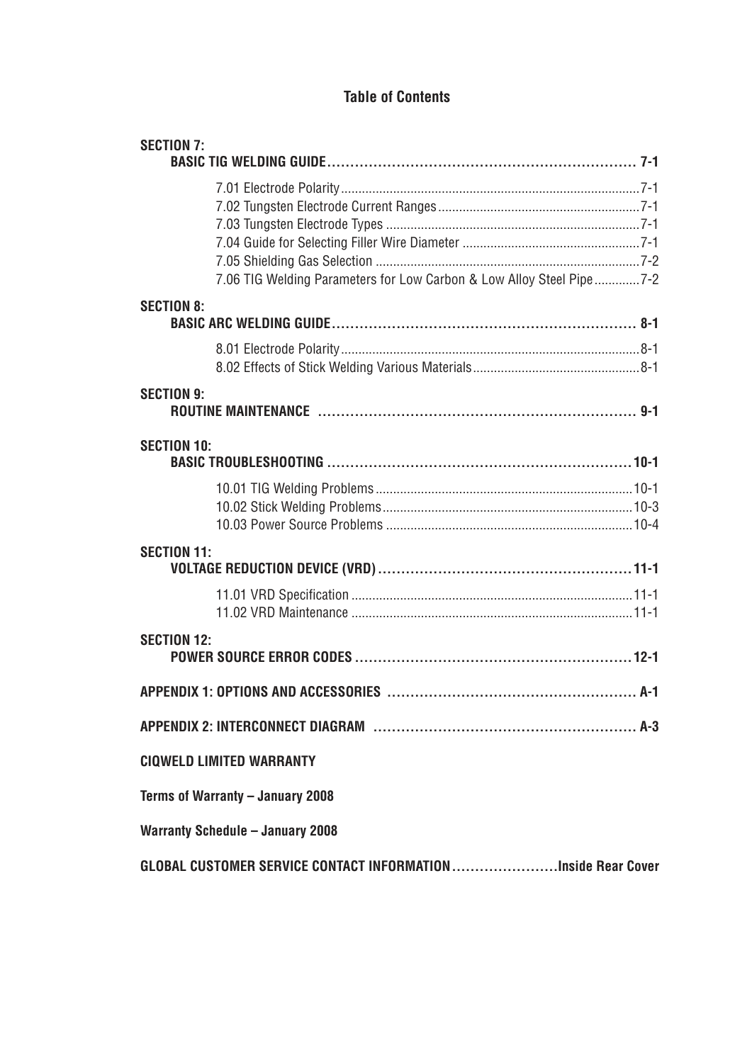# **Table of Contents**

| <b>SECTION 7:</b>                                                    |  |
|----------------------------------------------------------------------|--|
|                                                                      |  |
|                                                                      |  |
|                                                                      |  |
|                                                                      |  |
|                                                                      |  |
| 7.06 TIG Welding Parameters for Low Carbon & Low Alloy Steel Pipe7-2 |  |
| <b>SECTION 8:</b>                                                    |  |
|                                                                      |  |
|                                                                      |  |
|                                                                      |  |
| <b>SECTION 9:</b>                                                    |  |
|                                                                      |  |
| <b>SECTION 10:</b>                                                   |  |
|                                                                      |  |
|                                                                      |  |
|                                                                      |  |
| <b>SECTION 11:</b>                                                   |  |
|                                                                      |  |
|                                                                      |  |
| <b>SECTION 12:</b>                                                   |  |
|                                                                      |  |
|                                                                      |  |
|                                                                      |  |
| <b>CIQWELD LIMITED WARRANTY</b>                                      |  |
| Terms of Warranty - January 2008                                     |  |
| <b>Warranty Schedule - January 2008</b>                              |  |
| GLOBAL CUSTOMER SERVICE CONTACT INFORMATIONInside Rear Cover         |  |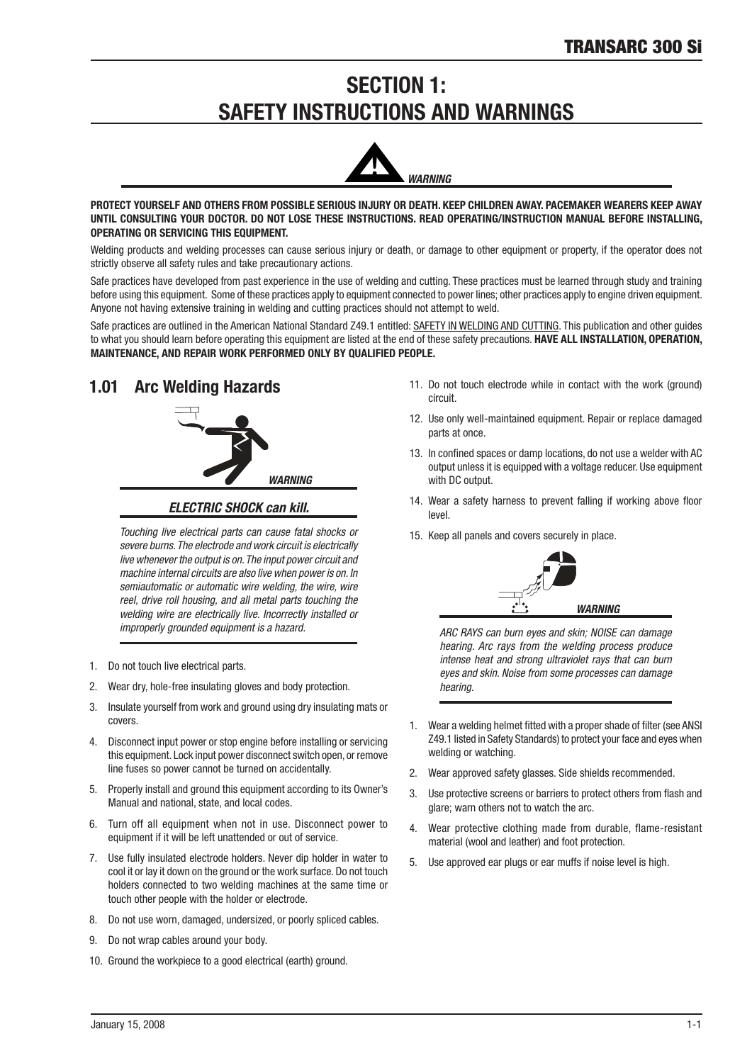# **SECTION 1: SAFETY INSTRUCTIONS AND WARNINGS**



PROTECT YOURSELF AND OTHERS FROM POSSIBLE SERIOUS INJURY OR DEATH. KEEP CHILDREN AWAY. PACEMAKER WEARERS KEEP AWAY UNTIL CONSULTING YOUR DOCTOR. DO NOT LOSE THESE INSTRUCTIONS. READ OPERATING/INSTRUCTION MANUAL BEFORE INSTALLING, OPERATING OR SERVICING THIS EQUIPMENT.

Welding products and welding processes can cause serious injury or death, or damage to other equipment or property, if the operator does not strictly observe all safety rules and take precautionary actions.

Safe practices have developed from past experience in the use of welding and cutting. These practices must be learned through study and training before using this equipment. Some of these practices apply to equipment connected to power lines; other practices apply to engine driven equipment. Anyone not having extensive training in welding and cutting practices should not attempt to weld.

Safe practices are outlined in the American National Standard Z49.1 entitled: SAFETY IN WELDING AND CUTTING. This publication and other guides to what you should learn before operating this equipment are listed at the end of these safety precautions. HAVE ALL INSTALLATION, OPERATION, MAINTENANCE, AND REPAIR WORK PERFORMED ONLY BY QUALIFIED PEOPLE.

# 1.01 Arc Welding Hazards



*ELECTRIC SHOCK can kill.*

Touching live electrical parts can cause fatal shocks or severe burns. The electrode and work circuit is electrically live whenever the output is on. The input power circuit and machine internal circuits are also live when power is on. In semiautomatic or automatic wire welding, the wire, wire reel, drive roll housing, and all metal parts touching the welding wire are electrically live. Incorrectly installed or improperly grounded equipment is a hazard.

- 1. Do not touch live electrical parts.
- 2. Wear dry, hole-free insulating gloves and body protection.
- 3. Insulate yourself from work and ground using dry insulating mats or covers.
- 4. Disconnect input power or stop engine before installing or servicing this equipment. Lock input power disconnect switch open, or remove line fuses so power cannot be turned on accidentally.
- 5. Properly install and ground this equipment according to its Owner's Manual and national, state, and local codes.
- 6. Turn off all equipment when not in use. Disconnect power to equipment if it will be left unattended or out of service.
- 7. Use fully insulated electrode holders. Never dip holder in water to cool it or lay it down on the ground or the work surface. Do not touch holders connected to two welding machines at the same time or touch other people wth the holder or electrode.
- 8. Do not use worn, damaged, undersized, or poorly spliced cables.
- 9. Do not wrap cables around your body.
- 10. Ground the workpiece to a good electrical (earth) ground.
- 11. Do not touch electrode while in contact with the work (ground) circuit
- 12. Use only well-maintained equipment. Repair or replace damaged parts at once.
- 13. In confined spaces or damp locations, do not use a welder with AC output unless it is equipped with a voltage reducer. Use equipment with DC output.
- 14. Wear a safety harness to prevent falling if working above floor level.
- 15. Keep all panels and covers securely in place.



ARC RAYS can burn eyes and skin; NOISE can damage hearing. Arc rays from the welding process produce intense heat and strong ultraviolet rays that can burn eyes and skin. Noise from some processes can damage hearing.

- 1. Wear a welding helmet fitted with a proper shade of filter (see ANSI Z49.1 listed in Safety Standards) to protect your face and eyes when welding or watching.
- 2. Wear approved safety glasses. Side shields recommended.
- 3. Use protective screens or barriers to protect others from flash and glare; warn others not to watch the arc.
- 4. Wear protective clothing made from durable, flame-resistant material (wool and leather) and foot protection.
- 5. Use approved ear plugs or ear muffs if noise level is high.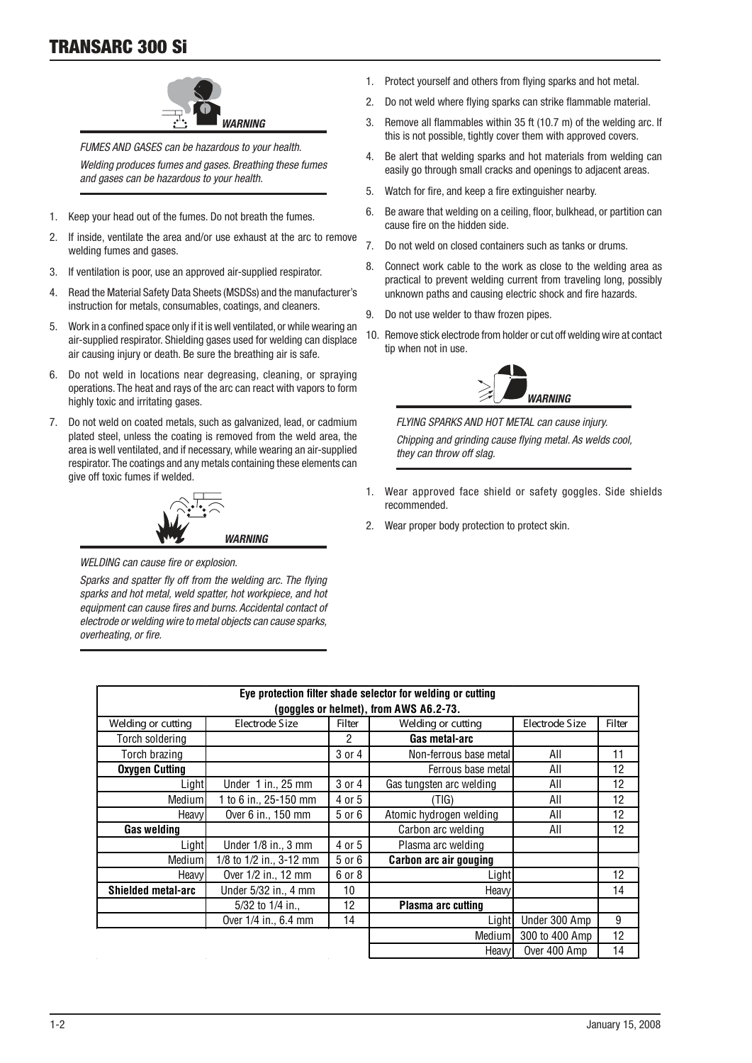

FUMES AND GASES can be hazardous to your health. Welding produces fumes and gases. Breathing these fumes and gases can be hazardous to your health.

- 1. Keep your head out of the fumes. Do not breath the fumes.
- 2. If inside, ventilate the area and/or use exhaust at the arc to remove welding fumes and gases.
- 3. If ventilation is poor, use an approved air-supplied respirator.
- 4. Read the Material Safety Data Sheets (MSDSs) and the manufacturer's instruction for metals, consumables, coatings, and cleaners.
- 5. Work in a confined space only if it is well ventilated, or while wearing an air-supplied respirator. Shielding gases used for welding can displace air causing injury or death. Be sure the breathing air is safe.
- 6. Do not weld in locations near degreasing, cleaning, or spraying operations. The heat and rays of the arc can react with vapors to form highly toxic and irritating gases.
- 7. Do not weld on coated metals, such as galvanized, lead, or cadmium plated steel, unless the coating is removed from the weld area, the area is well ventilated, and if necessary, while wearing an air-supplied respirator. The coatings and any metals containing these elements can give off toxic fumes if welded.



WELDING can cause fire or explosion.

Sparks and spatter fly off from the welding arc. The flying sparks and hot metal, weld spatter, hot workpiece, and hot equipment can cause fires and burns. Accidental contact of electrode or welding wire to metal objects can cause sparks, overheating, or fire.

- 1. Protect yourself and others from flying sparks and hot metal.
- 2. Do not weld where flying sparks can strike flammable material.
- 3. Remove all flammables within 35 ft (10.7 m) of the welding arc. If this is not possible, tightly cover them with approved covers.
- 4. Be alert that welding sparks and hot materials from welding can easily go through small cracks and openings to adjacent areas.
- 5. Watch for fire, and keep a fire extinguisher nearby.
- 6. Be aware that welding on a ceiling, floor, bulkhead, or partition can cause fire on the hidden side.
- 7. Do not weld on closed contaners such as tanks or drums.
- 8. Connect work cable to the work as close to the welding area as practical to prevent welding current from traveling long, possibly unknown paths and causing electric shock and fire hazards.
- 9. Do not use welder to thaw frozen pipes.
- 10. Remove stick electrode from holder or cut off welding wire at contact tip when not in use.



FLYING SPARKS AND HOT METAL can cause injury. Chipping and grinding cause flying metal. As welds cool, they can throw off slag.

- Wear approved face shield or safety goggles. Side shields recommended.
- 2. Wear proper body protection to protect skin.

| Eye protection filter shade selector for welding or cutting |                         |        |                          |                |        |
|-------------------------------------------------------------|-------------------------|--------|--------------------------|----------------|--------|
| (goggles or helmet), from AWS A6.2-73.                      |                         |        |                          |                |        |
| Welding or cutting                                          | Electrode Size          | Filter | Welding or cutting       | Electrode Size | Filter |
| Torch soldering                                             |                         | 2      | Gas metal-arc            |                |        |
| Torch brazing                                               |                         | 3 or 4 | Non-ferrous base metal   | All            | 11     |
| <b>Oxygen Cutting</b>                                       |                         |        | Ferrous base metal       | All            | 12     |
| Light                                                       | Under $1$ in., 25 mm    | 3 or 4 | Gas tungsten arc welding | All            | 12     |
| Medium                                                      | 1 to 6 in., 25-150 mm   | 4 or 5 | (TIG)                    | All            | 12     |
| Heavy                                                       | Over 6 in., 150 mm      | 5 or 6 | Atomic hydrogen welding  | All            | 12     |
| Gas welding                                                 |                         |        | Carbon arc welding       | All            | 12     |
| Light                                                       | Under $1/8$ in., 3 mm   | 4 or 5 | Plasma arc welding       |                |        |
| Mediuml                                                     | 1/8 to 1/2 in., 3-12 mm | 5 or 6 | Carbon arc air gouging   |                |        |
| Heavy                                                       | Over 1/2 in., 12 mm     | 6 or 8 | Light                    |                | 12     |
| <b>Shielded metal-arc</b>                                   | Under 5/32 in., 4 mm    | 10     | Heavy                    |                | 14     |
|                                                             | 5/32 to $1/4$ in.,      | 12     | Plasma arc cutting       |                |        |
|                                                             | Over 1/4 in., 6.4 mm    | 14     | Light                    | Under 300 Amp  | 9      |
|                                                             |                         |        | Mediuml                  | 300 to 400 Amp | 12     |
|                                                             |                         |        | Heavyl                   | Over 400 Amp   | 14     |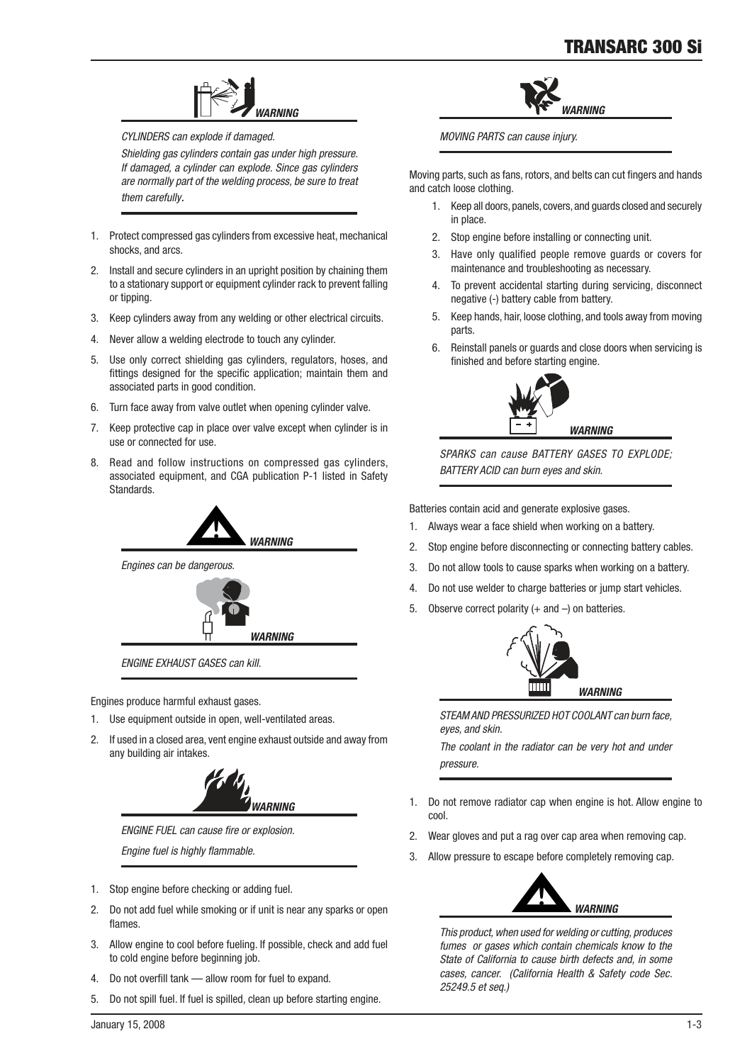

CYLINDERS can explode if damaged.

Shielding gas cylinders contain gas under high pressure. If damaged, a cylinder can explode. Since gas cylinders are normally part of the welding process, be sure to treat them carefully.

- 1. Protect compressed gas cylinders from excessive heat, mechanical shocks, and arcs.
- 2. Install and secure cylinders in an upright position by chaining them to a stationary support or equipment cylinder rack to prevent falling or tipping.
- 3. Keep cylinders away from any welding or other electrical circuits.
- 4. Never allow a welding electrode to touch any cylinder.
- 5. Use only correct shielding gas cylinders, regulators, hoses, and fittings designed for the specific application; maintain them and associated parts in good condition.
- 6. Turn face away from valve outlet when opening cylinder valve.
- 7. Keep protective cap in place over valve except when cylinder is in use or connected for use.
- 8. Read and follow instructions on compressed gas cylinders, associated equipment, and CGA publication P-1 listed in Safety Standards.



Engines can be dangerous.



ENGINE EXHAUST GASES can kill.

Engines produce harmful exhaust gases.

- 1. Use equipment outside in open, well-ventilated areas.
- 2. If used in a closed area, vent engine exhaust outside and away from any building air intakes.



ENGINE FUEL can cause fire or explosion.

Engine fuel is highly flammable.

- 1. Stop engine before checking or adding fuel.
- 2. Do not add fuel while smoking or if unit is near any sparks or open flames.
- 3. Allow engine to cool before fueling. If possible, check and add fuel to cold engine before beginning job.
- 4. Do not overfill tank allow room for fuel to expand.
- 5. Do not spill fuel. If fuel is spilled, clean up before starting engine.



MOVING PARTS can cause injury.

Moving parts, such as fans, rotors, and belts can cut fingers and hands and catch loose clothing.

- 1. Keep all doors, panels, covers, and guards closed and securely in place.
- 2. Stop engine before installing or connecting unit.
- 3. Have only qualfied people remove guards or covers for maintenance and troubleshooting as necessary.
- 4. To prevent accidental starting during servicing, disconnect negative (-) battery cable from battery.
- 5. Keep hands, hair, loose clothing, and tools away from moving parts.
- 6. Reinstall panels or guards and close doors when servicing is finished and before starting engine.



SPARKS can cause BATTERY GASES TO EXPLODE; BATTERY ACID can burn eyes and skin.

Batteries contain acid and generate explosive gases.

- 1. Always wear a face shield when working on a battery.
- 2. Stop engine before disconnecting or connecting battery cables.
- 3. Do not allow tools to cause sparks when working on a battery.
- 4. Do not use welder to charge batteries or jump start vehicles.
- 5. Observe correct polarity  $(+)$  and  $-$ ) on batteries.



STEAM AND PRESSURIZED HOT COOLANT can burn face, eyes, and skin.

The coolant in the radiator can be very hot and under pressure.

- 1. Do not remove radiator cap when engine is hot. Allow engine to cool.
- 2. Wear gloves and put a rag over cap area when removing cap.
- 3. Allow pressure to escape before completely removing cap.



This product, when used for welding or cutting, produces fumes or gases which contain chemicals know to the State of California to cause birth defects and, in some cases, cancer. (California Health & Safety code Sec. 25249.5 et seq.)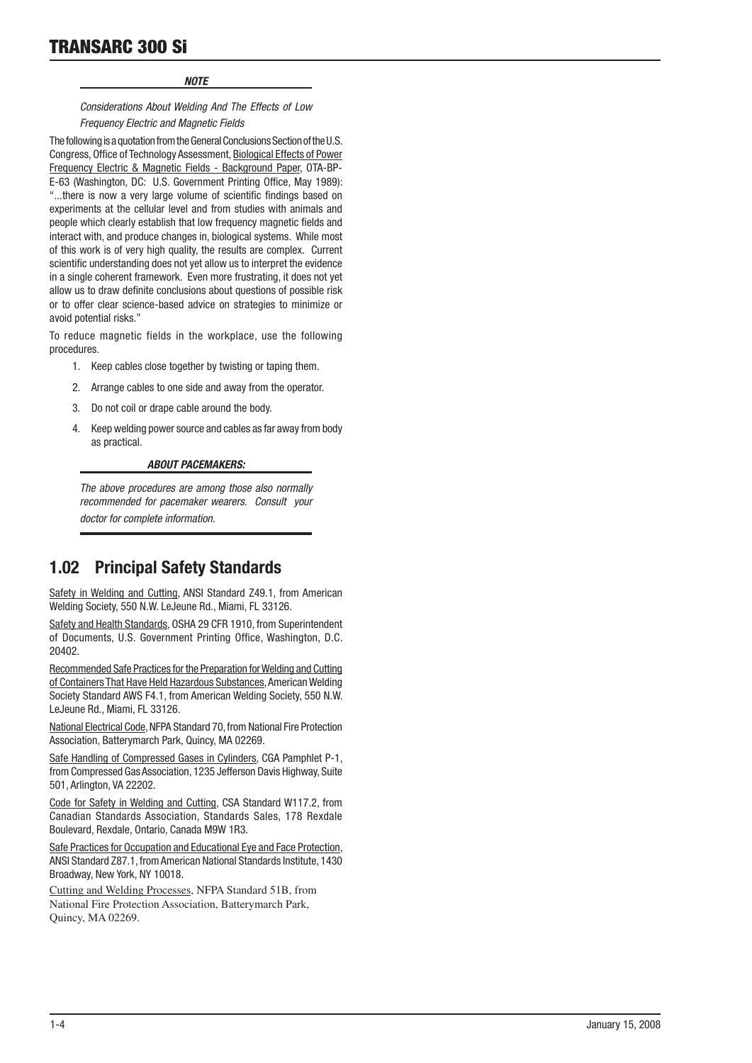# TRANSARC 300 Si

### *NOTE*

### Considerations About Welding And The Effects of Low Frequency Electric and Magnetic Fields

The following is a quotation from the General Conclusions Section of the U.S. Congress, Office of Technology Assessment, Biological Effects of Power Frequency Electric & Magnetic Fields - Background Paper, OTA-BP-E-63 (Washington, DC: U.S. Government Printing Office, May 1989): "...there is now a very large volume of scientific findings based on experiments at the cellular level and from studies with animals and people which clearly establish that low frequency magnetic fields and interact with, and produce changes in, biological systems. While most of this work is of very high quality, the results are complex. Current scientific understanding does not yet allow us to interpret the evidence in a single coherent framework. Even more frustrating, it does not yet allow us to draw definite conclusions about questions of possible risk or to offer clear science-based advice on strategies to minimize or avoid potential risks."

To reduce magnetic fields in the workplace, use the following procedures.

- 1. Keep cables close together by twisting or taping them.
- 2. Arrange cables to one side and away from the operator.
- 3. Do not coil or drape cable around the body.
- 4. Keep welding power source and cables as far away from body as practical.

### *ABOUT PACEMAKERS:*

The above procedures are among those also normally recommended for pacemaker wearers. Consult your doctor for complete information.

# 1.02 Principal Safety Standards

Safety in Welding and Cutting, ANSI Standard Z49.1, from American Welding Society, 550 N.W. LeJeune Rd., Miami, FL 33126.

Safety and Health Standards, OSHA 29 CFR 1910, from Superintendent of Documents, U.S. Government Printing Office, Washington, D.C. 20402.

Recommended Safe Practices for the Preparation for Welding and Cutting of Containers That Have Held Hazardous Substances, American Welding Society Standard AWS F4.1, from American Welding Society, 550 N.W. LeJeune Rd., Miami, FL 33126.

National Electrical Code, NFPA Standard 70, from National Fire Protection Association, Batterymarch Park, Quincy, MA 02269.

Safe Handling of Compressed Gases in Cylinders, CGA Pamphlet P-1, from Compressed Gas Association, 1235 Jefferson Davis Highway, Suite 501, Arlngton, VA 22202.

Code for Safety in Welding and Cutting, CSA Standard W117.2, from Canadian Standards Association, Standards Sales, 178 Rexdale Boulevard, Rexdale, Ontario, Canada M9W 1R3.

Safe Practices for Occupation and Educational Eye and Face Protection, ANSI Standard Z87.1, from American National Standards Institute, 1430 Broadway, New York, NY 10018.

Cutting and Welding Processes, NFPA Standard 51B, from National Fire Protection Association, Batterymarch Park, Quincy, MA 02269.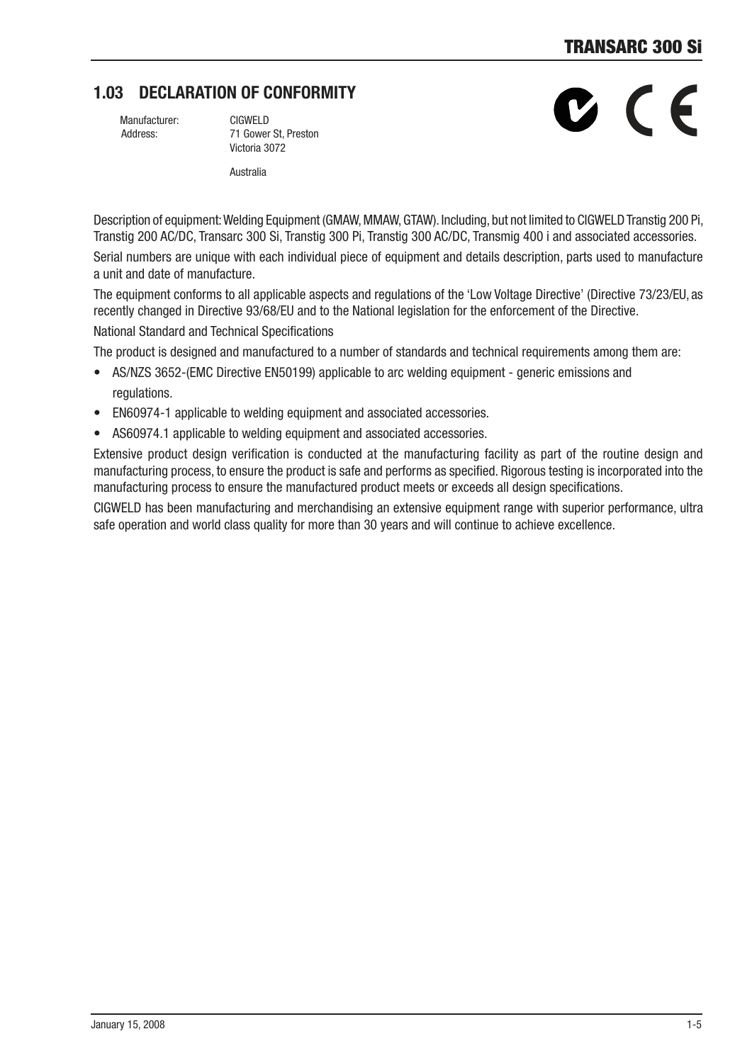# 1.03 DECLARATION OF CONFORMITY

Manufacturer: CIGWELD

 Address: 71 Gower St, Preston Victoria 3072

**Australia** 

B C F

Description of equipment: Welding Equipment (GMAW, MMAW, GTAW). Including, but not limited to CIGWELD Transtig 200 Pi, Transtig 200 AC/DC, Transarc 300 Si, Transtig 300 Pi, Transtig 300 AC/DC, Transmig 400 i and associated accessories.

Serial numbers are unique with each individual piece of equipment and details description, parts used to manufacture a unit and date of manufacture.

The equipment conforms to all applicable aspects and regulations of the 'Low Voltage Directive' (Directive 73/23/EU, as recently changed in Directive 93/68/EU and to the National legislation for the enforcement of the Directive. National Standard and Technical Specifications

The product is designed and manufactured to a number of standards and technical requirements among them are:

- AS/NZS 3652-(EMC Directive EN50199) applicable to arc welding equipment generic emissions and regulations.
- EN60974-1 applicable to welding equipment and associated accessories.
- AS60974.1 applicable to welding equipment and associated accessories.

Extensive product design verification is conducted at the manufacturing facility as part of the routine design and manufacturing process, to ensure the product is safe and performs as specified. Rigorous testing is incorporated into the manufacturing process to ensure the manufactured product meets or exceeds all design specifications.

CIGWELD has been manufacturing and merchandising an extensive equipment range with superior performance, ultra safe operation and world class quality for more than 30 years and will continue to achieve excellence.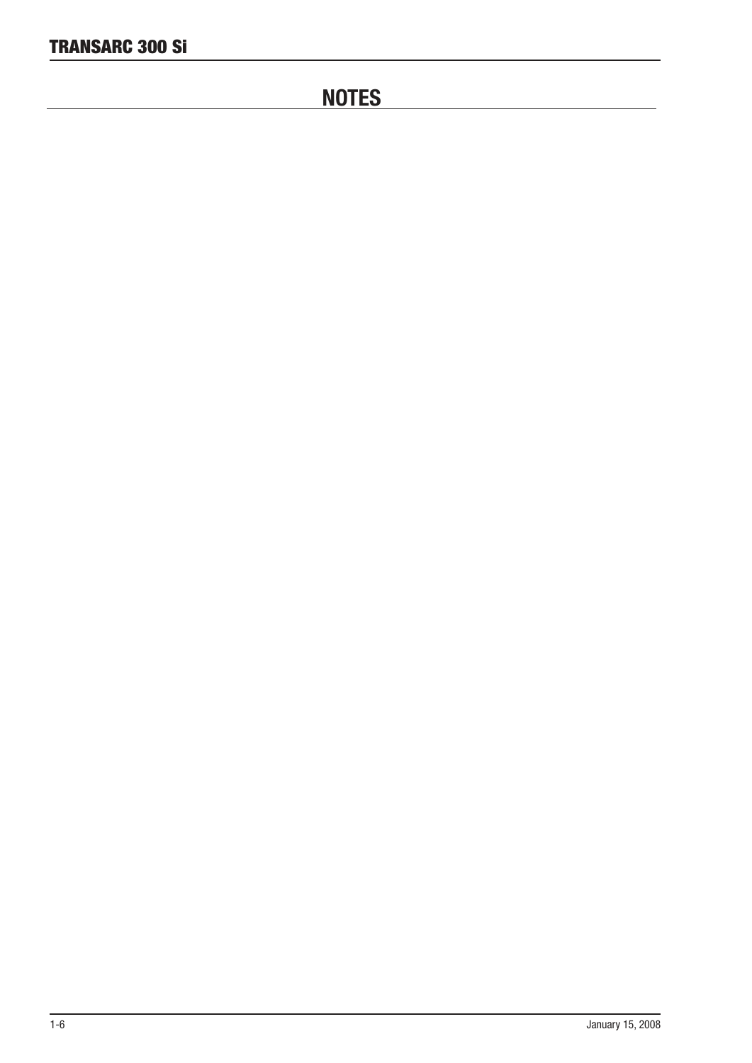# **NOTES**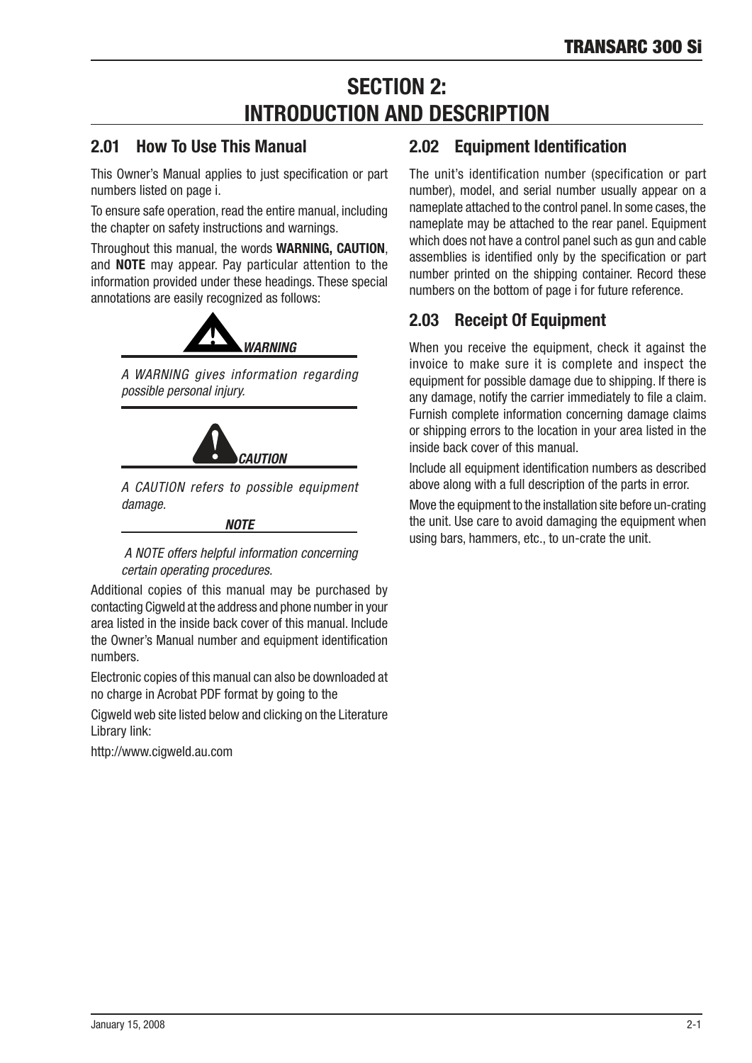# **SECTION 2:** INTRODUCTION AND DESCRIPTION

# 2.01 How To Use This Manual

This Owner's Manual applies to just specification or part numbers listed on page i.

To ensure safe operation, read the entire manual, including the chapter on safety instructions and warnings.

Throughout this manual, the words **WARNING, CAUTION**, and **NOTE** may appear. Pay particular attention to the information provided under these headings. These special annotations are easily recognized as follows:



A WARNING gives information regarding possible personal injury.



A CAUTION refers to possible equipment damage.

### *NOTE*

### A NOTE offers helpful information concerning certain operating procedures.

Additional copies of this manual may be purchased by contacting Cigweld at the address and phone number in your area listed in the inside back cover of this manual. Include the Owner's Manual number and equipment identification numbers.

Electronic copies of this manual can also be downloaded at no charge in Acrobat PDF format by going to the

Cigweld web site listed below and clicking on the Literature Library link:

http://www.ciaweld.au.com

# 2.02 Equipment Identification

The unit's identification number (specification or part number), model, and serial number usually appear on a nameplate attached to the control panel. In some cases, the nameplate may be attached to the rear panel. Equpment which does not have a control panel such as gun and cable assemblies is identified only by the specification or part number printed on the shipping container. Record these numbers on the bottom of page i for future reference.

# 2.03 Receipt Of Equipment

When you receive the equipment, check it against the invoice to make sure it is complete and inspect the equipment for possible damage due to shipping. If there is any damage, notify the carrier immediately to file a claim. Furnish complete information concerning damage claims or shipping errors to the location in your area listed in the inside back cover of this manual.

Include all equipment identification numbers as described above along with a full description of the parts in error.

Move the equipment to the installation site before un-crating the unit. Use care to avoid damaging the equipment when using bars, hammers, etc., to un-crate the unit.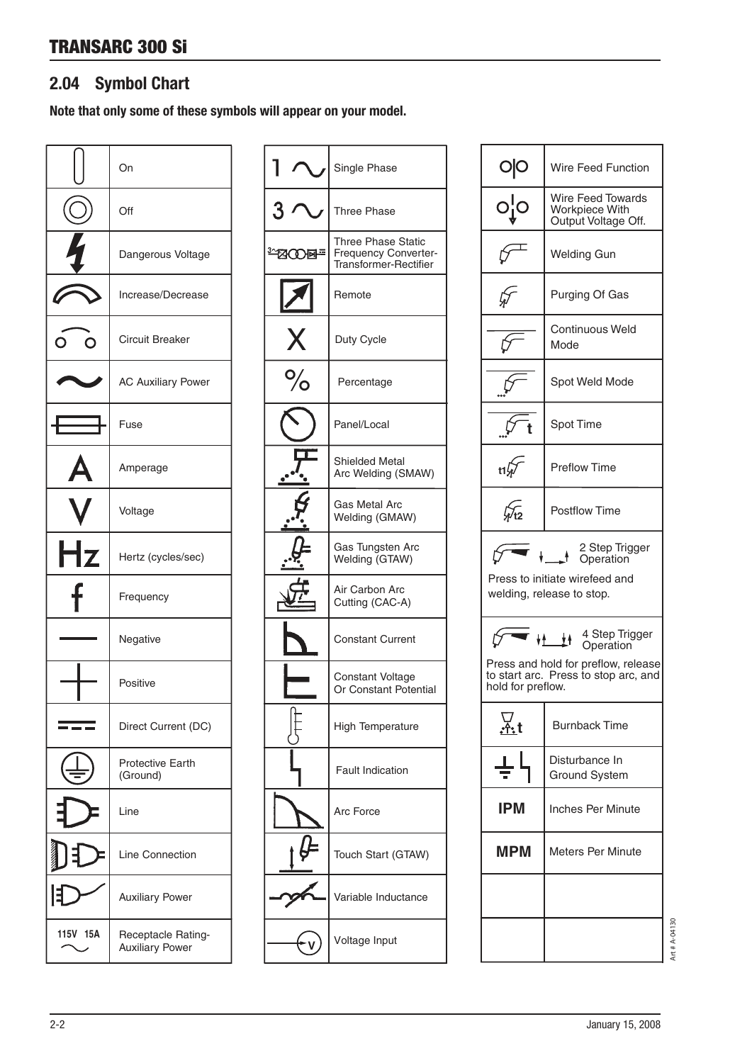# 2.04 Symbol Chart

Note that only some of these symbols will appear on your model.

|          | On                                           |
|----------|----------------------------------------------|
| (C)      | Off                                          |
| 5        | Dangerous Voltage                            |
|          | Increase/Decrease                            |
|          | <b>Circuit Breaker</b>                       |
|          | <b>AC Auxiliary Power</b>                    |
|          | Fuse                                         |
|          | Amperage                                     |
|          | Voltage                                      |
| Hz       | Hertz (cycles/sec)                           |
| t        | Frequency                                    |
|          | Negative                                     |
|          | Positive                                     |
|          | Direct Current (DC)                          |
|          | <b>Protective Earth</b><br>(Ground)          |
|          | Line                                         |
|          | Line Connection                              |
|          | <b>Auxiliary Power</b>                       |
| 115V 15A | Receptacle Rating-<br><b>Auxiliary Power</b> |

|                | Single Phase                                                                      |
|----------------|-----------------------------------------------------------------------------------|
|                | <b>Three Phase</b>                                                                |
| <b>ENCONF®</b> | <b>Three Phase Static</b><br><b>Frequency Converter-</b><br>Transformer-Rectifier |
|                | Remote                                                                            |
| X              | Duty Cycle                                                                        |
| ,<br>О         | Percentage                                                                        |
|                | Panel/Local                                                                       |
|                | <b>Shielded Metal</b><br>Arc Welding (SMAW)                                       |
|                | Gas Metal Arc<br>Welding (GMAW)                                                   |
|                | Gas Tungsten Arc<br>Welding (GTAW)                                                |
|                | Air Carbon Arc<br>Cutting (CAC-A)                                                 |
|                | <b>Constant Current</b>                                                           |
|                | <b>Constant Voltage</b><br>Or Constant Potential                                  |
|                | <b>High Temperature</b>                                                           |
|                | <b>Fault Indication</b>                                                           |
|                | Arc Force                                                                         |
|                | Touch Start (GTAW)                                                                |
|                | Variable Inductance                                                               |
|                | Voltage Input                                                                     |

| OO                                     | Wire Feed Function                                                                                                          |  |  |
|----------------------------------------|-----------------------------------------------------------------------------------------------------------------------------|--|--|
|                                        | <b>Wire Feed Towards</b><br>Workpiece With<br>Output Voltage Off.                                                           |  |  |
|                                        | <b>Welding Gun</b>                                                                                                          |  |  |
|                                        | <b>Purging Of Gas</b>                                                                                                       |  |  |
|                                        | Continuous Weld<br>Mode                                                                                                     |  |  |
|                                        | Spot Weld Mode                                                                                                              |  |  |
|                                        | Spot Time                                                                                                                   |  |  |
| t1W                                    | <b>Preflow Time</b>                                                                                                         |  |  |
| h⁄r2                                   | <b>Postflow Time</b>                                                                                                        |  |  |
|                                        | 2 Step Trigger<br>1 Operation<br>Press to initiate wirefeed and<br>welding, release to stop.                                |  |  |
| hold for preflow.                      | 4 Step Trigger<br>$\frac{1}{2}$<br>Operation<br>Press and hold for preflow, release<br>to start arc. Press to stop arc, and |  |  |
| <u>∀.</u> t                            | <b>Burnback Time</b>                                                                                                        |  |  |
| Disturbance In<br><b>Ground System</b> |                                                                                                                             |  |  |
| IPM<br><b>Inches Per Minute</b>        |                                                                                                                             |  |  |
| <b>MPM</b>                             | Meters Per Minute                                                                                                           |  |  |
|                                        |                                                                                                                             |  |  |
|                                        |                                                                                                                             |  |  |

Art # A-04130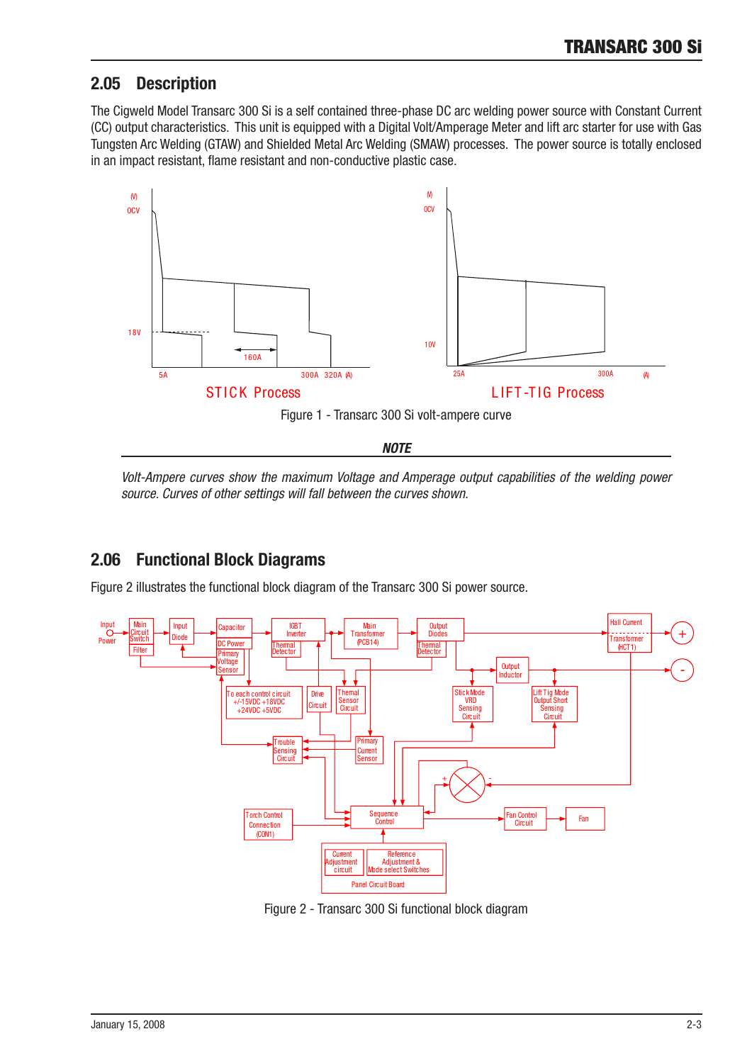# 2.05 Description

The Cigweld Model Transarc 300 Si is a self contained three-phase DC arc welding power source with Constant Current (CC) output characteristics. This unit is equipped with a Digital Volt/Amperage Meter and lift arc starter for use with Gas Tungsten Arc Welding (GTAW) and Shielded Metal Arc Welding (SMAW) processes. The power source is totally enclosed in an impact resistant, flame resistant and non-conductive plastic case.



*NOTE*

Volt-Ampere curves show the maximum Voltage and Amperage output capabilities of the welding power source. Curves of other settings will fall between the curves shown.

# 2.06 Functional Block Diagrams

Figure 2 illustrates the functional block diagram of the Transarc 300 Si power source.



Figure 2 - Transarc 300 Si functional block diagram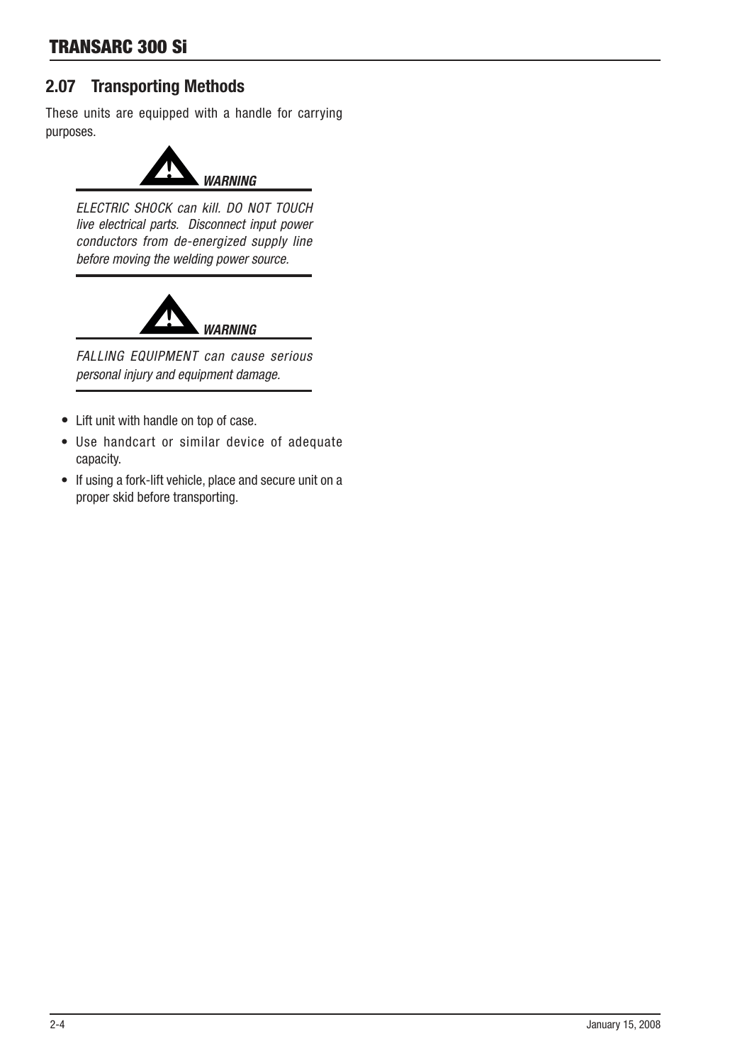# 2.07 Transporting Methods

These units are equipped with a handle for carrying purposes.



ELECTRIC SHOCK can kill. DO NOT TOUCH live electrical parts. Disconnect input power conductors from de-energized supply line before moving the welding power source.



FALLING EQUIPMENT can cause serious personal injury and equipment damage.

- Lift unit with handle on top of case.
- Use handcart or similar device of adequate capacity.
- If using a fork-lift vehicle, place and secure unit on a proper skid before transporting.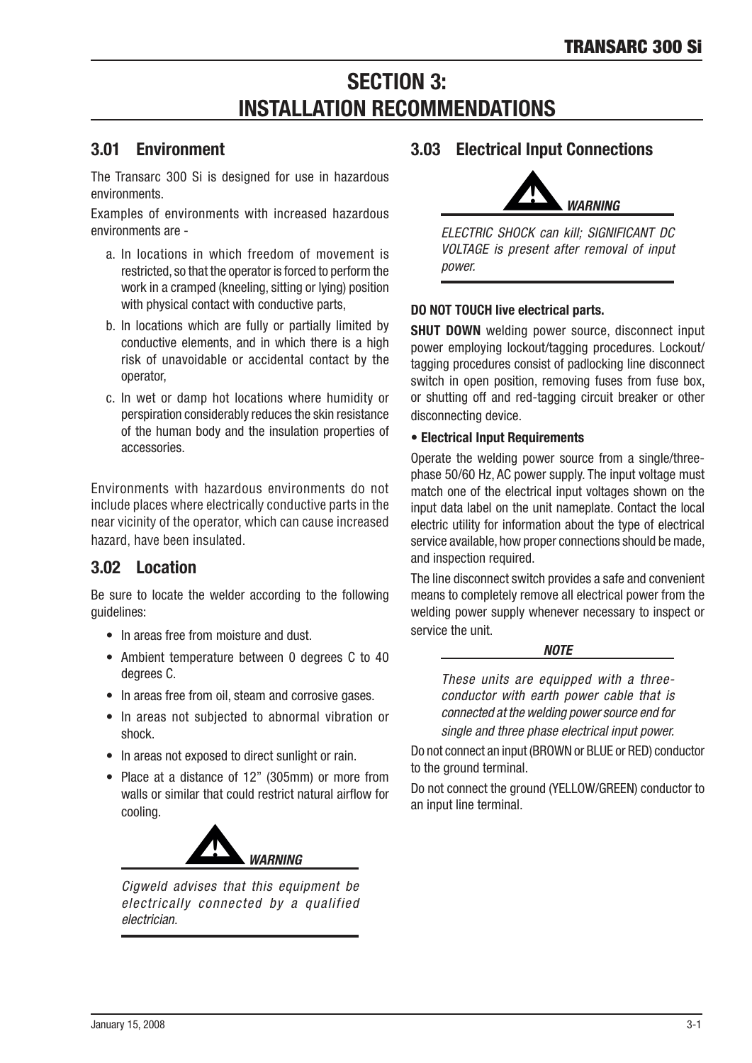# **SECTION 3: INSTALLATION RECOMMENDATIONS**

# 3.01 Environment

The Transarc 300 Si is designed for use in hazardous environments.

Examples of environments with increased hazardous environments are -

- a. In locations in which freedom of movement is restricted, so that the operator is forced to perform the work in a cramped (kneeling, sitting or lying) position with physical contact with conductive parts,
- b. In locations which are fully or partially limited by conductive elements, and in which there is a high risk of unavoidable or accidental contact by the operator,
- c. In wet or damp hot locations where humidity or perspiration considerably reduces the skin resistance of the human body and the insulation properties of accessories.

Environments with hazardous environments do not include places where electrically conductive parts in the near vicinity of the operator, which can cause increased hazard, have been insulated.

# 3.02 Location

Be sure to locate the welder according to the following guidelines:

- In areas free from moisture and dust
- Ambient temperature between 0 degrees C to 40 degrees C.
- In areas free from oil, steam and corrosive gases.
- In areas not subjected to abnormal vibration or shock.
- In areas not exposed to direct sunlight or rain.
- Place at a distance of 12" (305mm) or more from walls or similar that could restrict natural airflow for cooling.



Cigweld advises that this equipment be electrically connected by a qualified electrician.

# 3.03 Electrical Input Connections



ELECTRIC SHOCK can kill; SIGNIFICANT DC VOLTAGE is present after removal of input power.

## DO NOT TOUCH live electrical parts.

**SHUT DOWN** welding power source, disconnect input power employing lockout/tagging procedures. Lockout/ tagging procedures consist of padlocking line disconnect switch in open position, removing fuses from fuse box, or shutting off and red-tagging circuit breaker or other disconnecting device.

### • Electrical Input Requirements

Operate the welding power source from a single/threephase 50/60 Hz, AC power supply. The input voltage must match one of the electrical input voltages shown on the input data label on the unit nameplate. Contact the local electric utility for information about the type of electrical service available, how proper connections should be made, and inspection required.

The line disconnect switch provides a safe and convenient means to completely remove all electrical power from the welding power supply whenever necessary to inspect or service the unit.



These units are equipped with a threeconductor with earth power cable that is connected at the welding power source end for single and three phase electrical input power.

Do not connect an input (BROWN or BLUE or RED) conductor to the ground terminal.

Do not connect the ground (YELLOW/GREEN) conductor to an input line terminal.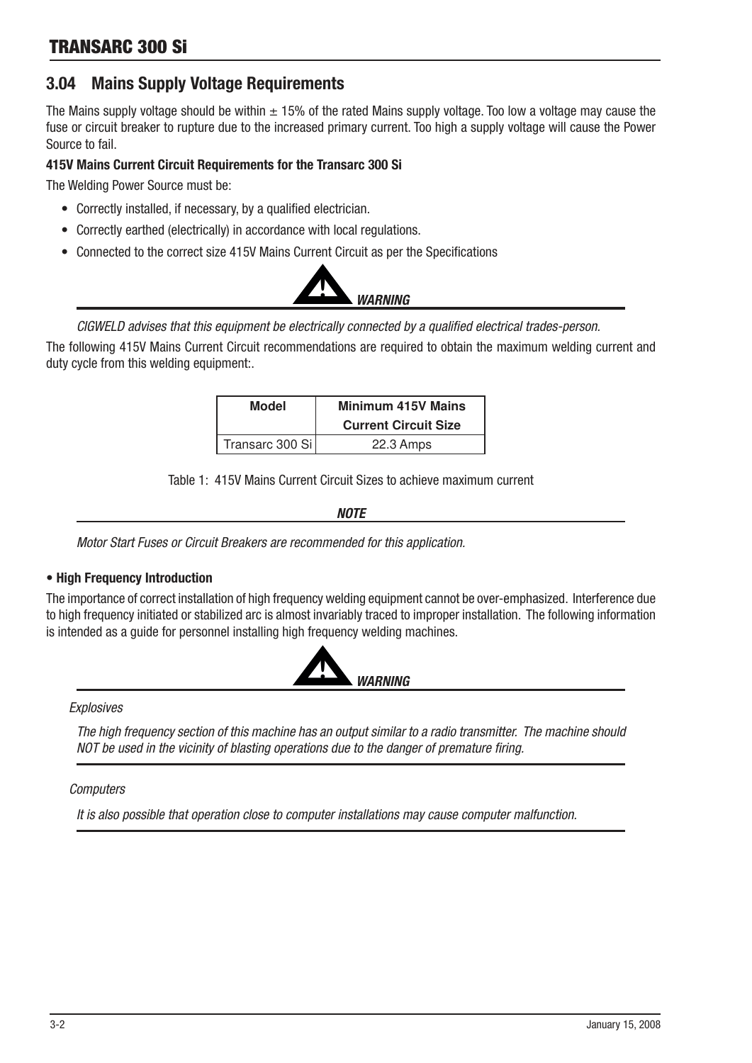# 3.04 Mains Supply Voltage Requirements

The Mains supply voltage should be within  $\pm$  15% of the rated Mains supply voltage. Too low a voltage may cause the fuse or circuit breaker to rupture due to the increased primary current. Too high a supply voltage will cause the Power Source to fal.

### 415V Mains Current Circuit Requirements for the Transarc 300 Si

The Welding Power Source must be:

- Correctly installed, if necessary, by a qualified electrician.
- Correctly earthed (electrically) in accordance with local regulations.
- Connected to the correct size 415V Mains Current Circuit as per the Specifications



CIGWELD advises that this equipment be electrically connected by a qualified electrical trades-person.

The following 415V Mains Current Circuit recommendations are required to obtain the maximum welding current and duty cycle from this welding equipment:.

| Model           | <b>Minimum 415V Mains</b>   |
|-----------------|-----------------------------|
|                 | <b>Current Circuit Size</b> |
| Transarc 300 Si | 22.3 Amps                   |

Table 1: 415V Mains Current Circuit Sizes to achieve maximum current

*NOTE*

Motor Start Fuses or Circuit Breakers are recommended for this application.

### • High Frequency Introduction

The importance of correct installation of high frequency welding equipment cannot be over-emphasized. Interference due to high frequency initiated or stabilized arc is almost invariably traced to improper installation. The following information is intended as a quide for personnel installing high frequency welding machines.



**Explosives** 

The high frequency section of this machine has an output similar to a radio transmitter. The machine should NOT be used in the vicinity of blasting operations due to the danger of premature firing.

### **Computers**

It is also possible that operation close to computer installations may cause computer malfunction.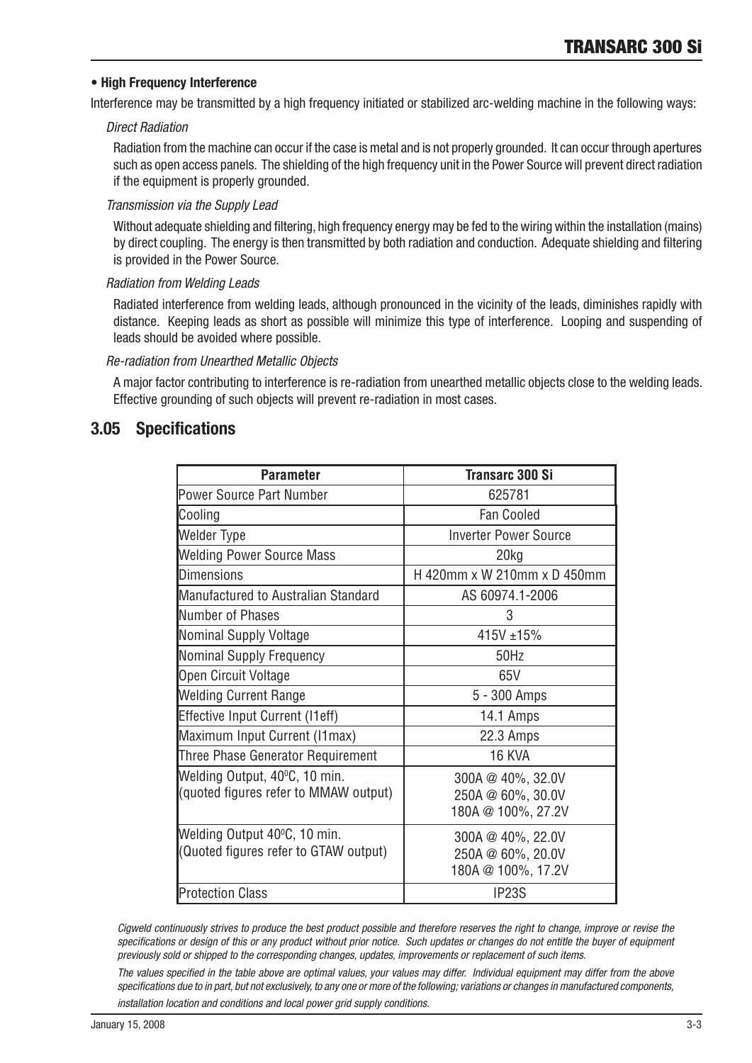### • High Frequency Interference

Interference may be transmitted by a high frequency initiated or stabilized arc-welding machine in the following ways:

### Direct Radiation

Radiation from the machine can occur if the case is metal and is not properly grounded. It can occur through apertures such as open access panels. The shielding of the high frequency unit in the Power Source will prevent direct radiation if the equipment is properly grounded.

### Transmission via the Supply Lead

Without adequate shielding and filtering, high frequency energy may be fed to the wiring within the installation (mains) by direct coupling. The energy is then transmitted by both radiation and conduction. Adequate shielding and filtering is provided in the Power Source.

### Radiation from Welding Leads

Radiated interference from welding leads, although pronounced in the vicinity of the leads, diminishes rapidly with distance. Keeping leads as short as possible will minimize this type of interference. Looping and suspending of leads should be avoided where possible.

### Re-radiation from Unearthed Metallic Objects

A major factor contributing to interference is re-radiation from unearthed metallic objects close to the welding leads. Effective grounding of such objects will prevent re-radiation in most cases.

# 3.05 Specifications

| <b>Parameter</b>                                                       | <b>Transarc 300 Si</b>                                       |
|------------------------------------------------------------------------|--------------------------------------------------------------|
| Power Source Part Number                                               | 625781                                                       |
| Cooling                                                                | <b>Fan Cooled</b>                                            |
| <b>Welder Type</b>                                                     | <b>Inverter Power Source</b>                                 |
| <b>Welding Power Source Mass</b>                                       | 20kg                                                         |
| <b>Dimensions</b>                                                      | H 420mm x W 210mm x D 450mm                                  |
| Manufactured to Australian Standard                                    | AS 60974.1-2006                                              |
| Number of Phases                                                       | 3                                                            |
| Nominal Supply Voltage                                                 | 415V ±15%                                                    |
| Nominal Supply Frequency                                               | 50Hz                                                         |
| Open Circuit Voltage                                                   | 65V                                                          |
| <b>Welding Current Range</b>                                           | 5 - 300 Amps                                                 |
| <b>Effective Input Current (I1eff)</b>                                 | 14.1 Amps                                                    |
| Maximum Input Current (I1max)                                          | 22.3 Amps                                                    |
| Three Phase Generator Requirement                                      | 16 KVA                                                       |
| Welding Output, 40°C, 10 min.<br>(quoted figures refer to MMAW output) | 300A @ 40%, 32.0V<br>250A @ 60%, 30.0V<br>180A @ 100%, 27.2V |
| Welding Output 40°C, 10 min.<br>(Quoted figures refer to GTAW output)  | 300A @ 40%, 22.0V<br>250A @ 60%, 20.0V<br>180A @ 100%, 17.2V |
| <b>Protection Class</b>                                                | IP23S                                                        |

Cigweld continuously strives to produce the best product possible and therefore reserves the right to change, improve or revise the specifications or design of this or any product without prior notice. Such updates or changes do not entitle the buyer of equipment previously sold or shipped to the corresponding changes, updates, improvements or replacement of such items.

The values specified in the table above are optimal values, your values may differ. Individual equipment may differ from the above specifications due to in part, but not exclusively, to any one or more of the following; variations or changes in manufactured components,

installation location and conditions and local power grid supply conditions.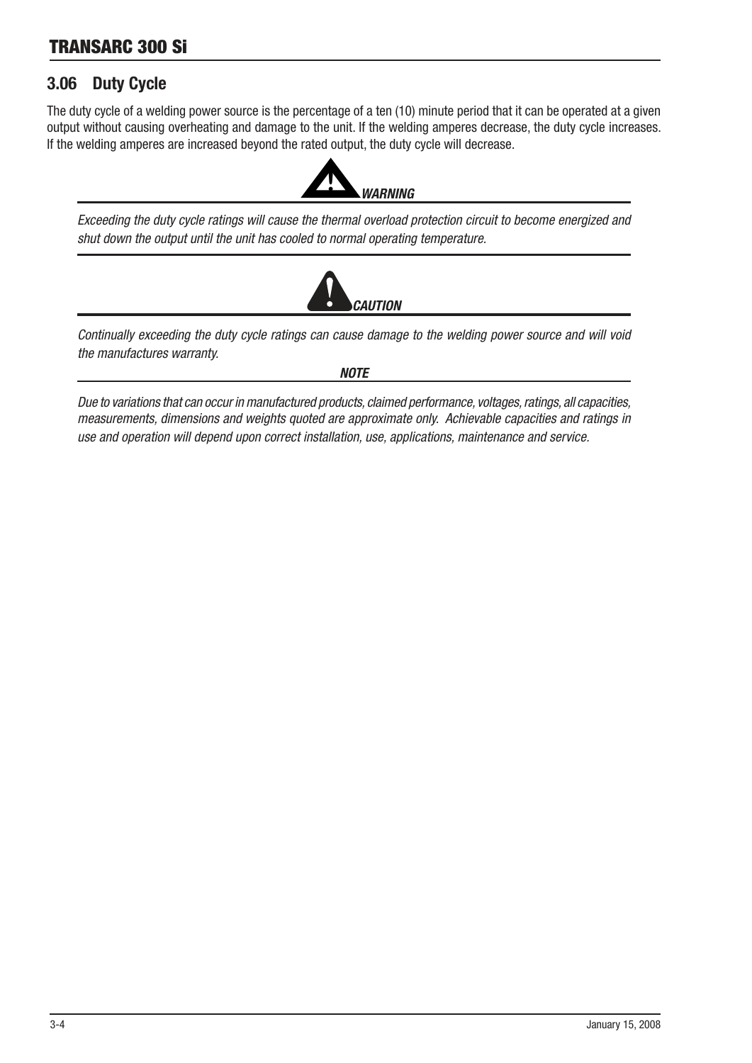# TRANSARC 300 Si

# 3.06 Duty Cycle

The duty cycle of a welding power source is the percentage of a ten (10) minute period that it can be operated at a given output wthout causng overheatng and damage to the unt. If the weldng amperes decrease, the duty cycle ncreases. If the welding amperes are increased beyond the rated output, the duty cycle will decrease.



Exceeding the duty cycle ratings will cause the thermal overload protection circuit to become energized and shut down the output until the unit has cooled to normal operating temperature.



Continually exceeding the duty cycle ratings can cause damage to the welding power source and will void the manufactures warranty.

*NOTE* 

Due to variations that can occur in manufactured products, claimed performance, voltages, ratings, all capacities, measurements, dimensions and weights quoted are approximate only. Achievable capacities and ratings in use and operation will depend upon correct installation, use, applications, maintenance and service.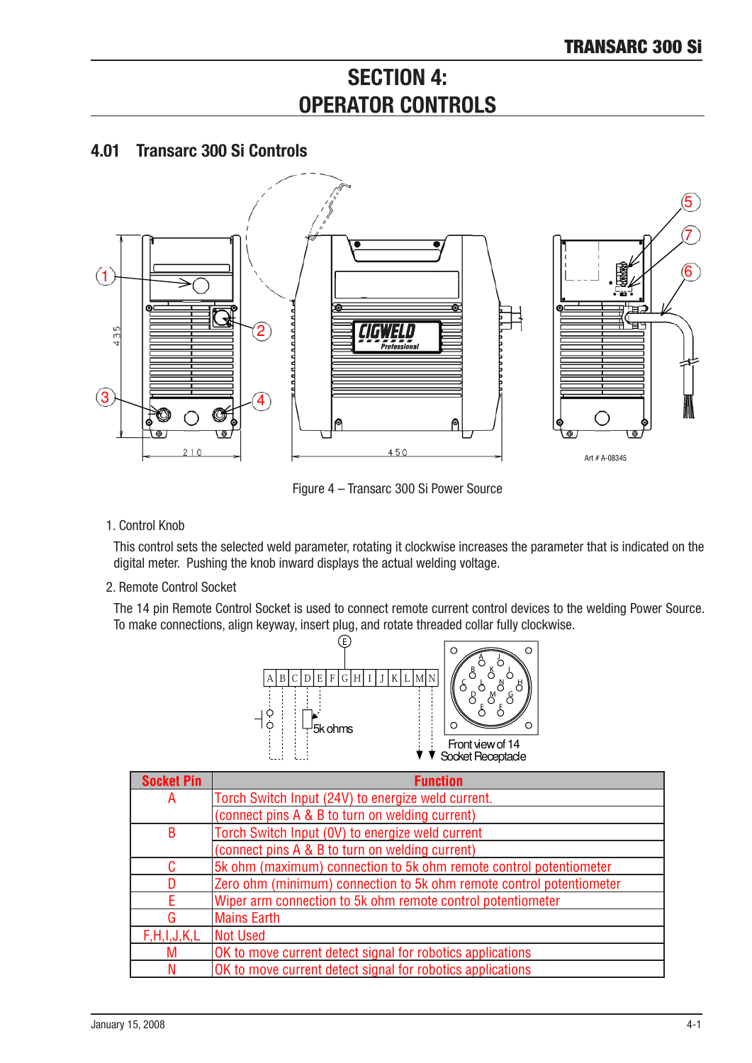# **SECTION 4: OPERATOR CONTROLS**

# 4.01 Transarc 300 Si Controls



Figure 4 – Transarc 300 Si Power Source

1. Control Knob

This control sets the selected weld parameter, rotating it clockwise increases the parameter that is indicated on the digital meter. Pushing the knob inward displays the actual welding voltage.

2. Remote Control Socket

The 14 pin Remote Control Socket is used to connect remote current control devices to the welding Power Source. To make connections, align keyway, insert plug, and rotate threaded collar fully clockwise.



| <b>Socket Pin</b> | <b>Function</b>                                                      |
|-------------------|----------------------------------------------------------------------|
| A                 | Torch Switch Input (24V) to energize weld current.                   |
|                   | (connect pins A & B to turn on welding current)                      |
| B                 | Torch Switch Input (OV) to energize weld current                     |
|                   | (connect pins A & B to turn on welding current)                      |
| C.                | 5k ohm (maximum) connection to 5k ohm remote control potentiometer   |
|                   | Zero ohm (minimum) connection to 5k ohm remote control potentiometer |
|                   | Wiper arm connection to 5k ohm remote control potentiometer          |
| G                 | <b>Mains Earth</b>                                                   |
| F,H,I,J,K,L       | <b>Not Used</b>                                                      |
| M                 | OK to move current detect signal for robotics applications           |
|                   | OK to move current detect signal for robotics applications           |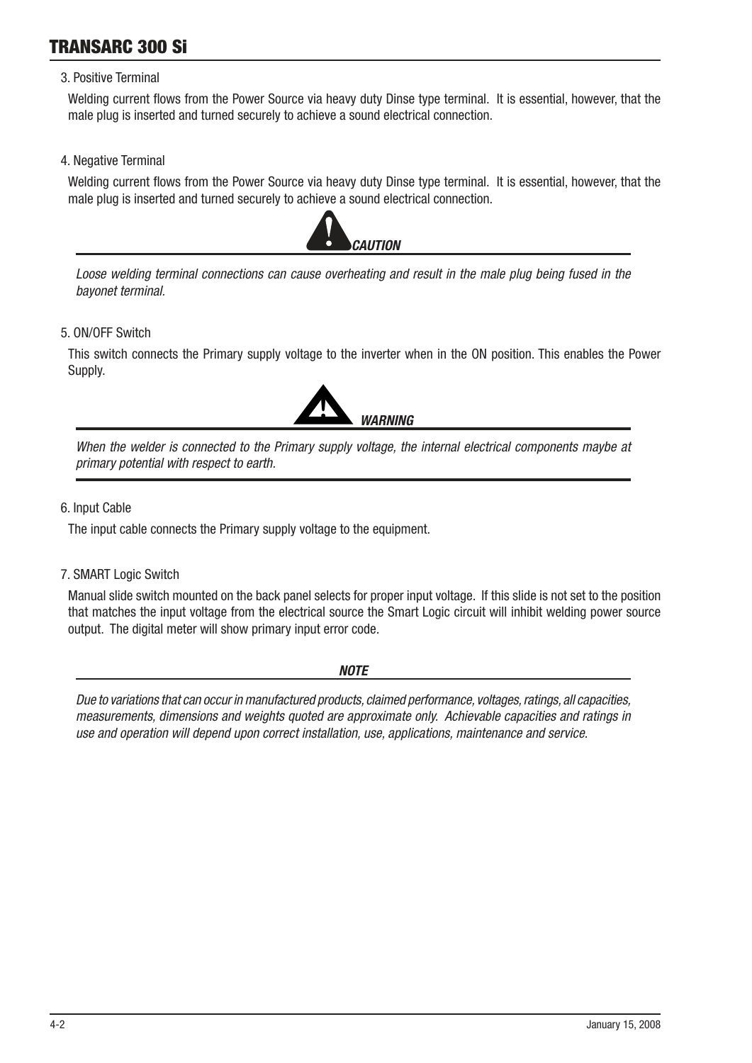# TRANSARC 300 Si

### 3. Positive Terminal

Welding current flows from the Power Source via heavy duty Dinse type terminal. It is essential, however, that the male plug is inserted and turned securely to achieve a sound electrical connection.

4. Negative Terminal

Welding current flows from the Power Source via heavy duty Dinse type terminal. It is essential, however, that the male plug is inserted and turned securely to achieve a sound electrical connection.



Loose welding terminal connections can cause overheating and result in the male plug being fused in the bayonet terminal.

5. ON/OFF Swtch

This switch connects the Primary supply voltage to the inverter when in the ON position. This enables the Power Supply.



When the welder is connected to the Primary supply voltage, the internal electrical components maybe at primary potential with respect to earth.

6. Input Cable

The input cable connects the Primary supply voltage to the equipment.

7. SMART Logic Switch

Manual slide switch mounted on the back panel selects for proper input voltage. If this slide is not set to the position that matches the input voltage from the electrical source the Smart Logic circuit will inhibit welding power source output. The digital meter will show primary input error code.

*NOTE* 

Due to variations that can occur in manufactured products, claimed performance, voltages, ratings, all capacities, measurements, dimensions and weights quoted are approximate only. Achievable capacities and ratings in use and operation will depend upon correct installation, use, applications, maintenance and service.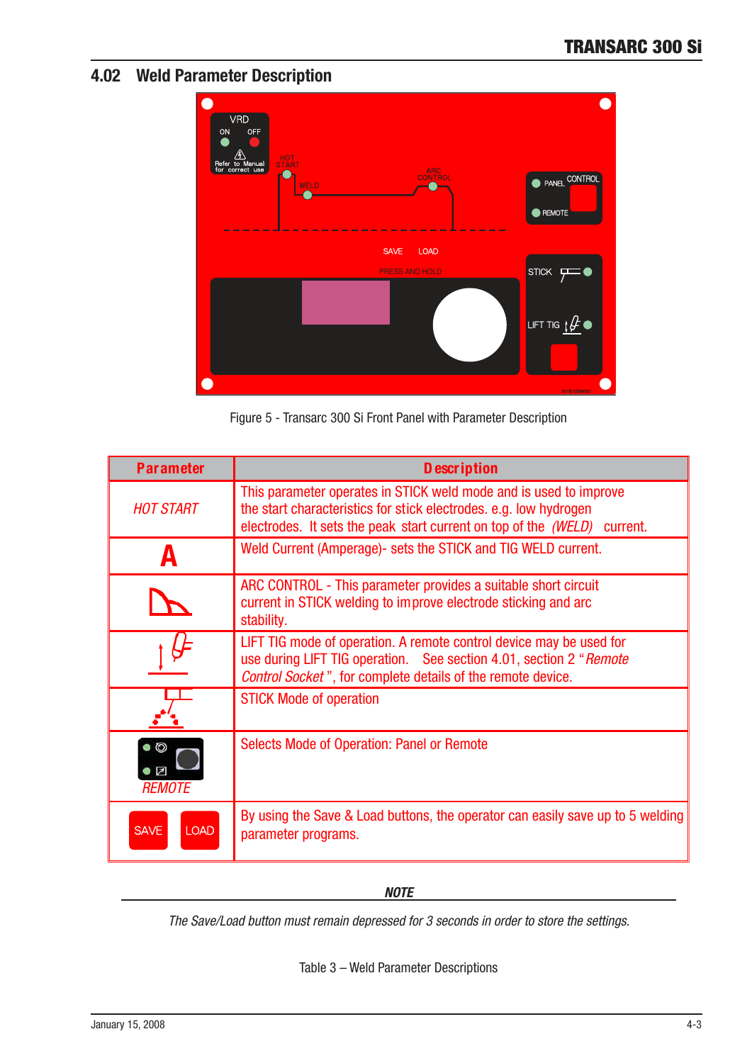# 4.02 Weld Parameter Description



Figure 5 - Transarc 300 Si Front Panel with Parameter Description

| <b>Parameter</b>           | <b>D</b> escription                                                                                                                                                                                                |
|----------------------------|--------------------------------------------------------------------------------------------------------------------------------------------------------------------------------------------------------------------|
| <b>HOT START</b>           | This parameter operates in STICK weld mode and is used to improve<br>the start characteristics for stick electrodes. e.g. low hydrogen<br>electrodes. It sets the peak start current on top of the (WELD) current. |
|                            | Weld Current (Amperage)- sets the STICK and TIG WELD current.                                                                                                                                                      |
|                            | ARC CONTROL - This parameter provides a suitable short circuit<br>current in STICK welding to improve electrode sticking and arc<br>stability.                                                                     |
|                            | LIFT TIG mode of operation. A remote control device may be used for<br>use during LIFT TIG operation. See section 4.01, section 2 "Remote<br><b>Control Socket</b> ", for complete details of the remote device.   |
|                            | <b>STICK Mode of operation</b>                                                                                                                                                                                     |
| $\odot$<br><b>REMOTE</b>   | <b>Selects Mode of Operation: Panel or Remote</b>                                                                                                                                                                  |
| <b>LOAD</b><br><b>SAVE</b> | By using the Save & Load buttons, the operator can easily save up to 5 welding<br>parameter programs.                                                                                                              |

*NOTE*

The Save/Load button must remain depressed for 3 seconds in order to store the settings.

Table  $3$  – Weld Parameter Descriptions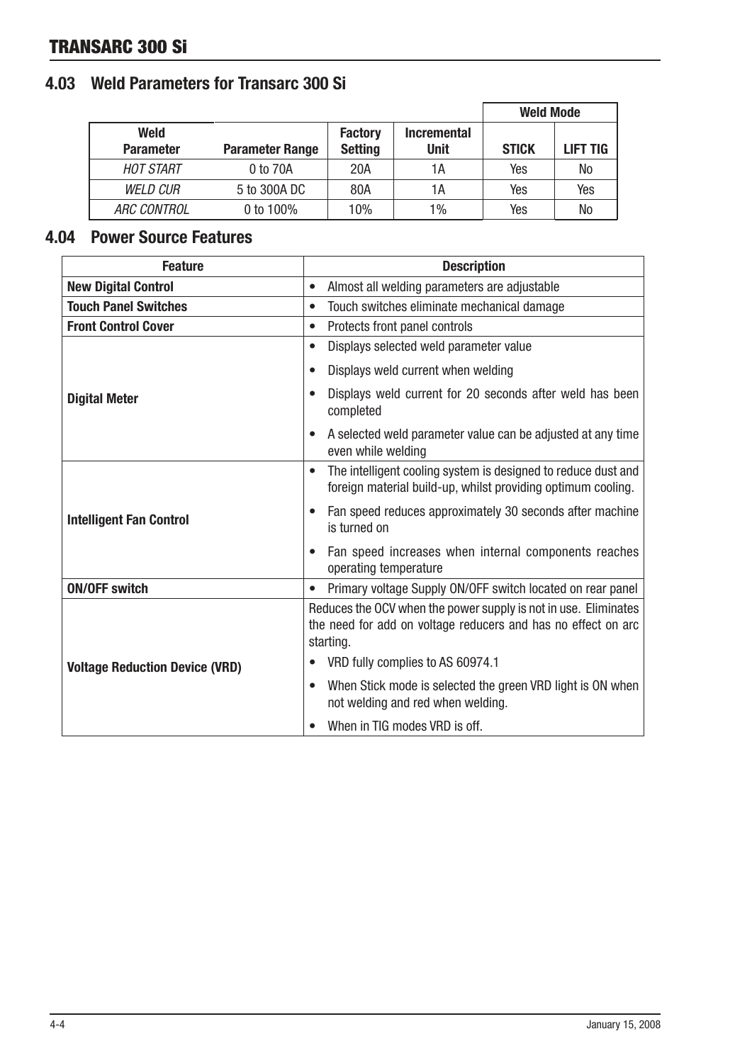# TRANSARC 300 Si

# 4.03 Weld Parameters for Transarc 300 Si

|                          |                        |                                  |                                   | <b>Weld Mode</b> |                 |
|--------------------------|------------------------|----------------------------------|-----------------------------------|------------------|-----------------|
| Weld<br><b>Parameter</b> | <b>Parameter Range</b> | <b>Factory</b><br><b>Setting</b> | <b>Incremental</b><br><b>Unit</b> | <b>STICK</b>     | <b>LIFT TIG</b> |
| <b>HOT START</b>         | 0 to 70A               | 20A                              | 1А                                | Yes              | No              |
| <b>WELD CUR</b>          | 5 to 300A DC           | 80A                              | 1А                                | Yes              | Yes             |
| <i>ARC CONTROL</i>       | 0 to $100\%$           | 10%                              | 1%                                | Yes              | No              |

# 4.04 Power Source Features

| <b>Feature</b>                        | <b>Description</b>                                                                                                                            |  |  |
|---------------------------------------|-----------------------------------------------------------------------------------------------------------------------------------------------|--|--|
| <b>New Digital Control</b>            | Almost all welding parameters are adjustable<br>$\bullet$                                                                                     |  |  |
| <b>Touch Panel Switches</b>           | Touch switches eliminate mechanical damage<br>$\bullet$                                                                                       |  |  |
| <b>Front Control Cover</b>            | Protects front panel controls<br>$\bullet$                                                                                                    |  |  |
|                                       | Displays selected weld parameter value<br>$\bullet$                                                                                           |  |  |
|                                       | Displays weld current when welding<br>$\bullet$                                                                                               |  |  |
| <b>Digital Meter</b>                  | Displays weld current for 20 seconds after weld has been<br>completed                                                                         |  |  |
|                                       | A selected weld parameter value can be adjusted at any time<br>even while welding                                                             |  |  |
|                                       | The intelligent cooling system is designed to reduce dust and<br>foreign material build-up, whilst providing optimum cooling.                 |  |  |
| <b>Intelligent Fan Control</b>        | Fan speed reduces approximately 30 seconds after machine<br>is turned on                                                                      |  |  |
|                                       | Fan speed increases when internal components reaches<br>operating temperature                                                                 |  |  |
| <b>ON/OFF switch</b>                  | Primary voltage Supply ON/OFF switch located on rear panel<br>$\bullet$                                                                       |  |  |
|                                       | Reduces the OCV when the power supply is not in use. Eliminates<br>the need for add on voltage reducers and has no effect on arc<br>starting. |  |  |
| <b>Voltage Reduction Device (VRD)</b> | VRD fully complies to AS 60974.1                                                                                                              |  |  |
|                                       | When Stick mode is selected the green VRD light is ON when<br>not welding and red when welding.                                               |  |  |
|                                       | When in TIG modes VRD is off.                                                                                                                 |  |  |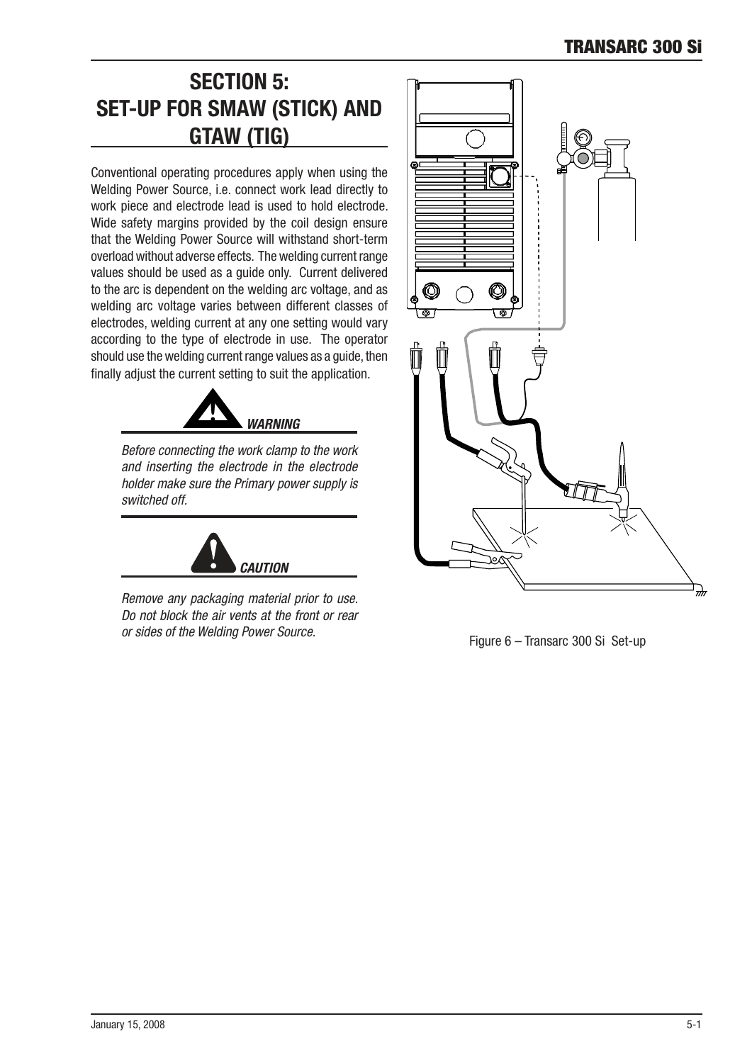# **SECTION 5: SET-UP FOR SMAW (STICK) AND** GTAW (TIG)

Conventional operating procedures apply when using the Welding Power Source, i.e. connect work lead directly to work piece and electrode lead is used to hold electrode. Wide safety margins provided by the coil design ensure that the Welding Power Source will withstand short-term overload without adverse effects. The welding current range values should be used as a quide only. Current delivered to the arc is dependent on the welding arc voltage, and as welding arc voltage varies between different classes of electrodes, welding current at any one setting would vary according to the type of electrode in use. The operator should use the welding current range values as a guide, then finally adjust the current setting to suit the application.



Before connecting the work clamp to the work and inserting the electrode in the electrode holder make sure the Primary power supply is switched off.



Remove any packaging material prior to use. Do not block the air vents at the front or rear or sides of the Welding Power Source.<br>Figure 6 – Transarc 300 Si Set-up

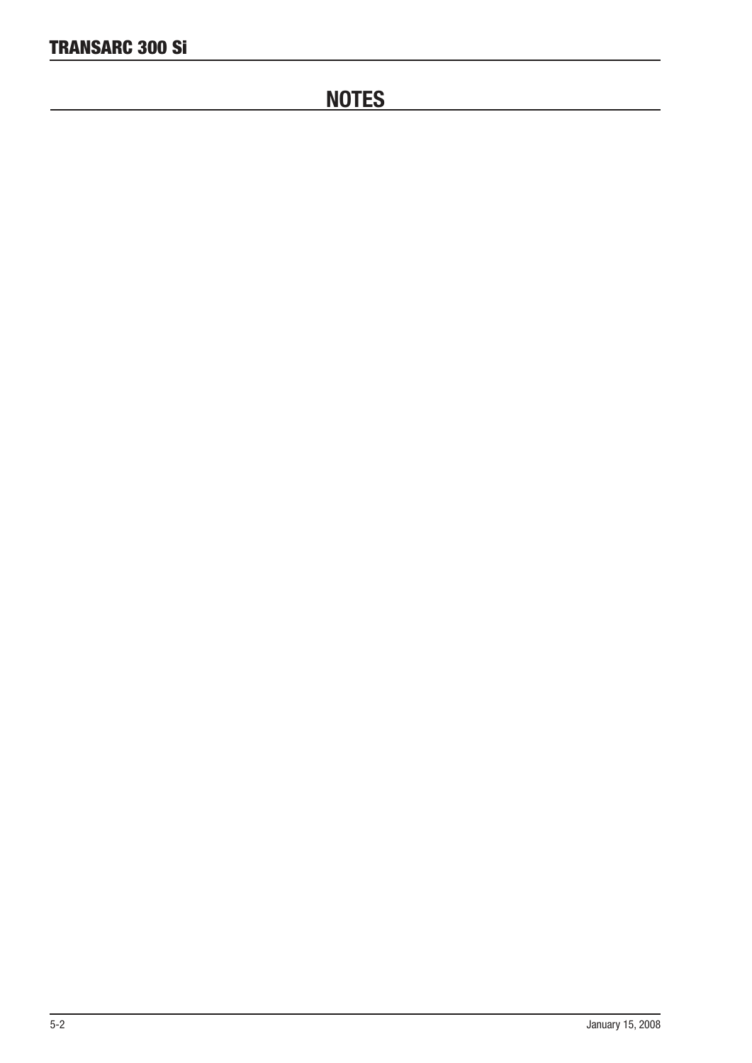# **NOTES**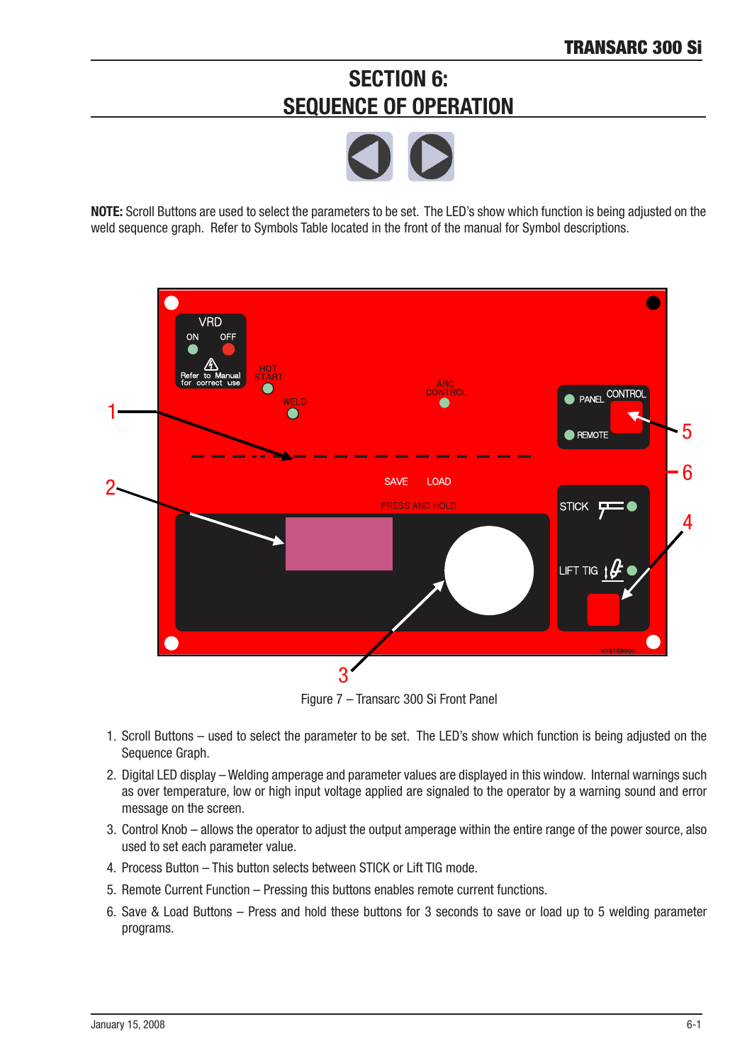# **SECTION 6: SEQUENCE OF OPERATION**



NOTE: Scroll Buttons are used to select the parameters to be set. The LED's show which function is being adjusted on the weld sequence graph. Refer to Symbols Table located in the front of the manual for Symbol descriptions.



Figure 7 – Transarc 300 Si Front Panel

- 1. Scroll Buttons used to select the parameter to be set. The LED's show which function is being adjusted on the Sequence Graph.
- 2. Digital LED display Welding amperage and parameter values are displayed in this window. Internal warnings such as over temperature, low or high input voltage applied are signaled to the operator by a warning sound and error message on the screen.
- 3. Control Knob allows the operator to adjust the output amperage within the entire range of the power source, also used to set each parameter value.
- 4. Process Button This button selects between STICK or Lift TIG mode.
- 5. Remote Current Function Pressing this buttons enables remote current functions.
- 6. Save & Load Buttons Press and hold these buttons for 3 seconds to save or load up to 5 welding parameter programs.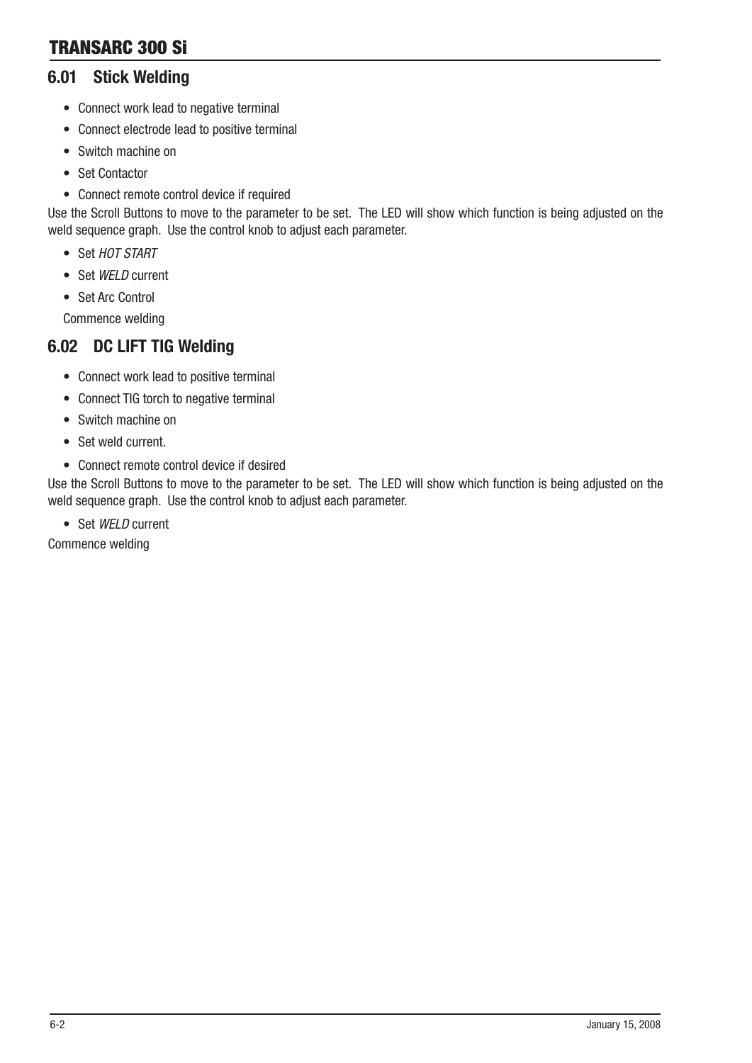# 6.01 Stick Welding

- Connect work lead to negative terminal
- Connect electrode lead to positive terminal
- Switch machine on
- Set Contactor
- Connect remote control device if required

Use the Scroll Buttons to move to the parameter to be set. The LED will show which function is being adjusted on the weld sequence graph. Use the control knob to adjust each parameter.

- Set HOT START
- Set WELD current
- Set Arc Control

Commence welding

# 6.02 DC LIFT TIG Welding

- Connect work lead to positive terminal
- Connect TIG torch to negative terminal
- Switch machine on
- Set weld current.
- Connect remote control device if desired

Use the Scroll Buttons to move to the parameter to be set. The LED will show which function is being adjusted on the weld sequence graph. Use the control knob to adjust each parameter.

• Set WELD current

Commence welding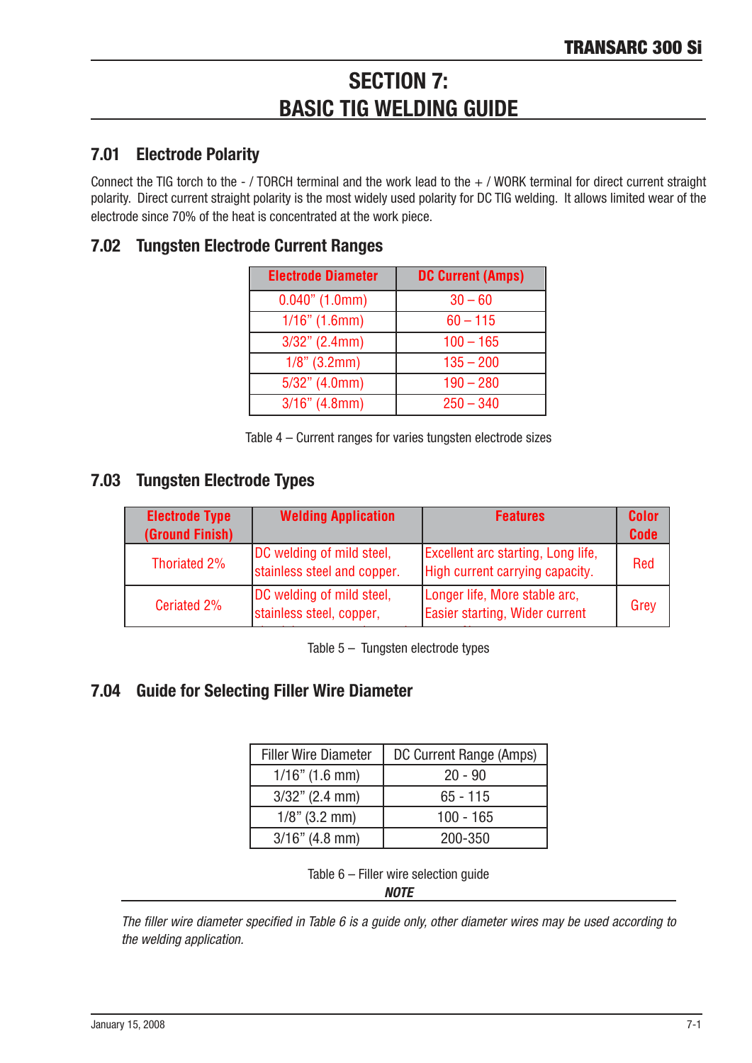# **SECTION 7: BASIC TIG WELDING GUIDE**

# 7.01 Electrode Polarity

Connect the TIG torch to the - / TORCH terminal and the work lead to the  $+$  / WORK terminal for direct current straight polarity. Direct current straight polarity is the most widely used polarity for DC TIG welding. It allows limited wear of the electrode since 70% of the heat is concentrated at the work piece.

# 7.02 Tungsten Electrode Current Ranges

| <b>Electrode Diameter</b> | <b>DC Current (Amps)</b> |
|---------------------------|--------------------------|
| $0.040$ " (1.0mm)         | $30 - 60$                |
| $1/16"$ (1.6mm)           | $60 - 115$               |
| $3/32$ " (2.4mm)          | $100 - 165$              |
| $1/8$ " (3.2mm)           | $135 - 200$              |
| $5/32$ " (4.0mm)          | $190 - 280$              |
| $3/16$ " (4.8mm)          | $250 - 340$              |

Table  $4$  – Current ranges for varies tungsten electrode sizes

# 7.03 Tungsten Electrode Types

| <b>Electrode Type</b><br>(Ground Finish) | <b>Welding Application</b>                               | <b>Features</b>                                                              | <b>Color</b><br><b>Code</b> |
|------------------------------------------|----------------------------------------------------------|------------------------------------------------------------------------------|-----------------------------|
| Thoriated 2%                             | DC welding of mild steel,<br>stainless steel and copper. | <b>Excellent arc starting, Long life,</b><br>High current carrying capacity. | Red                         |
| Ceriated 2%                              | DC welding of mild steel,<br>stainless steel, copper,    | Longer life, More stable arc,<br>Easier starting, Wider current              | Grey                        |

Table 5 – Tungsten electrode types

# **7.04 Guide for Selecting Filler Wire Diameter**

| <b>Filler Wire Diameter</b> | DC Current Range (Amps) |
|-----------------------------|-------------------------|
| $1/16$ " (1.6 mm)           | $20 - 90$               |
| $3/32$ " (2.4 mm)           | $65 - 115$              |
| $1/8$ " (3.2 mm)            | $100 - 165$             |
| $3/16$ " (4.8 mm)           | 200-350                 |

Table  $6$  – Filler wire selection guide

*NOTE* 

The filler wire diameter specified in Table 6 is a guide only, other diameter wires may be used according to the welding application.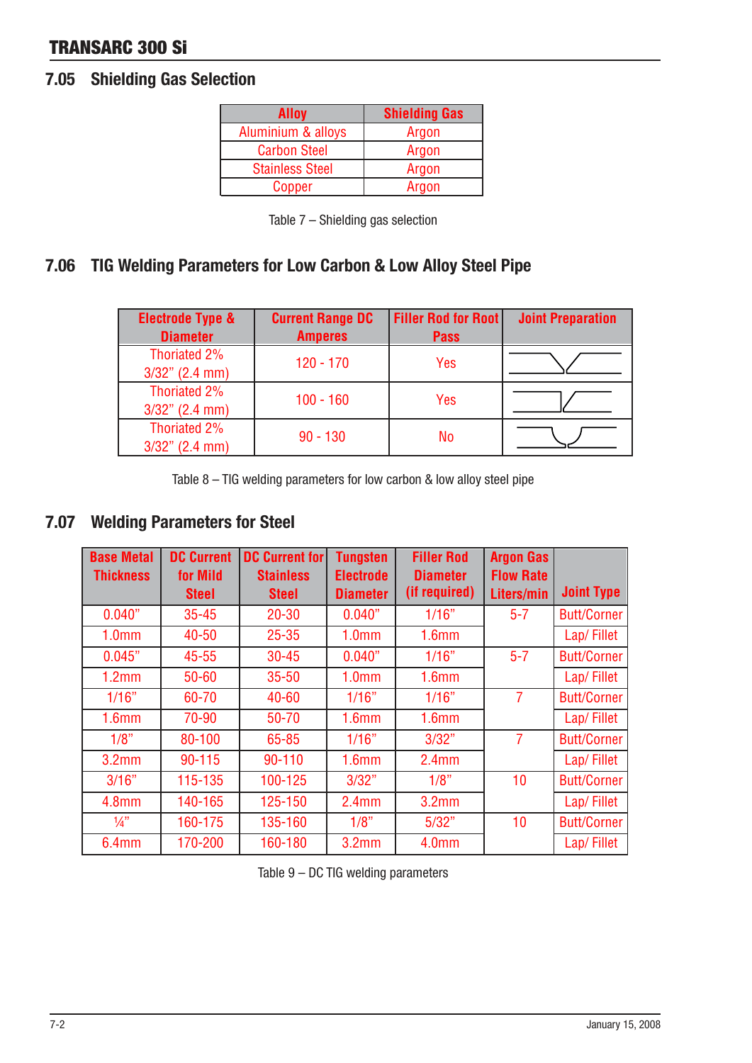# TRANSARC 300 Si

# 7.05 Shielding Gas Selection

| Alloy                  | <b>Shielding Gas</b> |
|------------------------|----------------------|
| Aluminium & alloys     | Argon                |
| <b>Carbon Steel</b>    | Argon                |
| <b>Stainless Steel</b> | Argon                |
| Copper                 | Argon                |

| Table 7 - Shielding gas selection |  |
|-----------------------------------|--|
|-----------------------------------|--|

# 7.06 TIG Welding Parameters for Low Carbon & Low Alloy Steel Pipe

| <b>Electrode Type &amp;</b><br><b>Diameter</b> | <b>Current Range DC</b><br><b>Amperes</b> | <b>Filler Rod for Root</b><br><b>Pass</b> | <b>Joint Preparation</b> |
|------------------------------------------------|-------------------------------------------|-------------------------------------------|--------------------------|
| Thoriated 2%<br>$3/32$ " (2.4 mm)              | $120 - 170$                               | Yes                                       |                          |
| Thoriated 2%<br>$3/32$ " (2.4 mm)              | $100 - 160$                               | Yes                                       |                          |
| Thoriated 2%<br>$3/32$ " (2.4 mm)              | $90 - 130$                                | No                                        |                          |

Table  $8 - TIG$  welding parameters for low carbon & low alloy steel pipe

# 7.07 Welding Parameters for Steel

| <b>Base Metal</b> | <b>DC Current</b> | <b>DC Current for</b> | <b>Tungsten</b>   | <b>Filler Rod</b> | <b>Argon Gas</b> |                    |
|-------------------|-------------------|-----------------------|-------------------|-------------------|------------------|--------------------|
| <b>Thickness</b>  | for Mild          | <b>Stainless</b>      | <b>Electrode</b>  | <b>Diameter</b>   | <b>Flow Rate</b> |                    |
|                   | <b>Steel</b>      | <b>Steel</b>          | <b>Diameter</b>   | (if required)     | Liters/min       | <b>Joint Type</b>  |
| 0.040"            | $35 - 45$         | $20 - 30$             | 0.040"            | 1/16"             |                  | <b>Butt/Corner</b> |
| 1.0 <sub>mm</sub> | 40-50             | $25 - 35$             | 1.0 <sub>mm</sub> | 1.6 <sub>mm</sub> |                  | Lap/Fillet         |
| 0.045"            | $45 - 55$         | $30 - 45$             | 0.040"            | 1/16"             | $5 - 7$          | <b>Butt/Corner</b> |
| 1.2mm             | 50-60             | $35 - 50$             | 1.0 <sub>mm</sub> | 1.6 <sub>mm</sub> |                  | Lap/Fillet         |
| 1/16"             | 60-70             | 40-60                 | 1/16"             | 1/16"             | $\overline{7}$   | <b>Butt/Corner</b> |
| 1.6 <sub>mm</sub> | 70-90             | 50-70                 | 1.6 <sub>mm</sub> | 1.6 <sub>mm</sub> |                  | Lap/Fillet         |
| 1/8"              | 80-100            | 65-85                 | 1/16"             | 3/32"             | $\overline{7}$   | <b>Butt/Corner</b> |
| 3.2 <sub>mm</sub> | 90-115            | 90-110                | 1.6 <sub>mm</sub> | 2.4 <sub>mm</sub> |                  | Lap/Fillet         |
| 3/16"             | 115-135           | 100-125               | 3/32"             | 10<br>1/8"        |                  | <b>Butt/Corner</b> |
| 4.8 <sub>mm</sub> | 140-165           | 125-150               | 2.4 <sub>mm</sub> | 3.2 <sub>mm</sub> |                  | Lap/Fillet         |
| $\frac{1}{4}$     | 160-175           | 135-160               | 1/8"              | 5/32"<br>10       |                  | <b>Butt/Corner</b> |
| 6.4 <sub>mm</sub> | 170-200           | 160-180               | 3.2 <sub>mm</sub> | 4.0 <sub>mm</sub> |                  | Lap/Fillet         |

Table  $9 - DC$  TIG welding parameters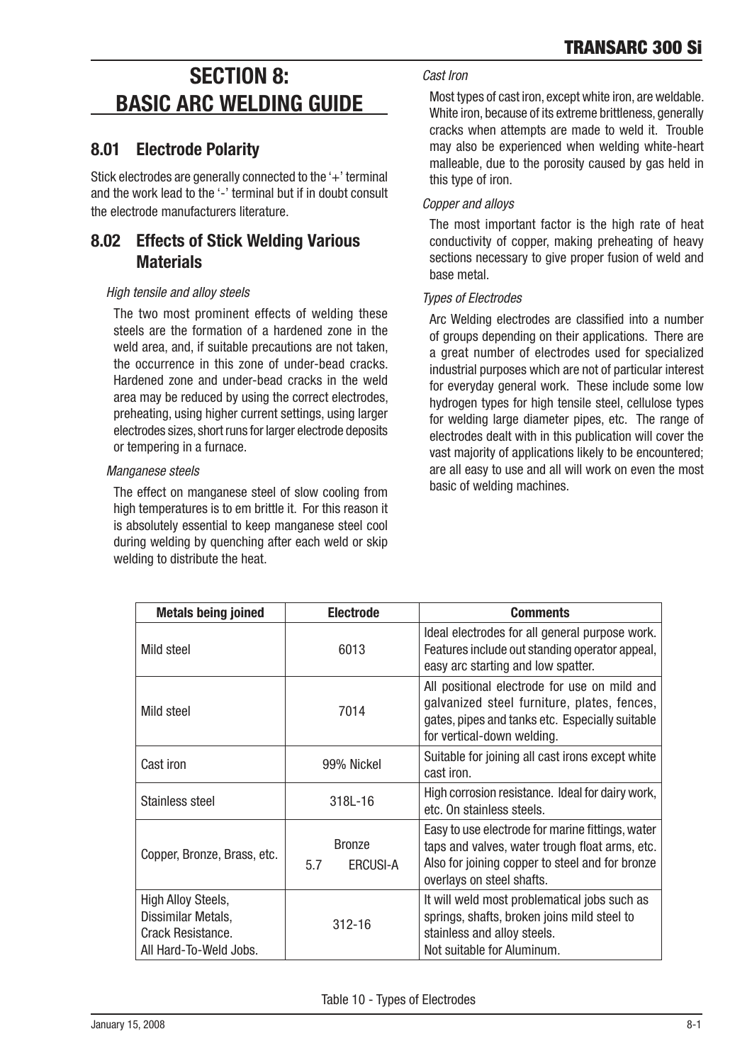# **SECTION 8: BASIC ARC WELDING GUIDE**

# 8.01 Electrode Polarity

Stick electrodes are generally connected to the '+' terminal and the work lead to the '-' terminal but if in doubt consult the electrode manufacturers literature.

# 8.02 Effects of Stick Welding Various **Materials**

### High tensile and alloy steels

The two most prominent effects of welding these steels are the formation of a hardened zone in the weld area, and, if suitable precautions are not taken, the occurrence in this zone of under-bead cracks. Hardened zone and under-bead cracks in the weld area may be reduced by using the correct electrodes. preheating, using higher current settings, using larger electrodes sizes, short runs for larger electrode deposits or tempering in a furnace.

### Manganese steels

The effect on manganese steel of slow coolng from high temperatures is to em brittle it. For this reason it is absolutely essential to keep manganese steel cool during welding by quenching after each weld or skip welding to distribute the heat.

## Cast Iron

Most types of cast iron, except white iron, are weldable. White iron, because of its extreme brittleness, generally cracks when attempts are made to weld it. Trouble may also be experienced when welding white-heart malleable, due to the porosity caused by gas held in this type of iron.

## Copper and alloys

The most important factor is the high rate of heat conductivity of copper, making preheating of heavy sections necessary to give proper fusion of weld and base metal.

### Types of Electrodes

Arc Welding electrodes are classified into a number of groups depending on their applications. There are a great number of electrodes used for specialized industrial purposes which are not of particular interest for everyday general work. These include some low hydrogen types for high tensile steel, cellulose types for welding large diameter pipes, etc. The range of electrodes dealt with in this publication will cover the vast majority of applications likely to be encountered: are all easy to use and all will work on even the most basic of welding machines.

| <b>Metals being joined</b>                                                              | <b>Electrode</b>                        | <b>Comments</b>                                                                                                                                                                    |  |  |  |
|-----------------------------------------------------------------------------------------|-----------------------------------------|------------------------------------------------------------------------------------------------------------------------------------------------------------------------------------|--|--|--|
| Mild steel                                                                              | 6013                                    | Ideal electrodes for all general purpose work.<br>Features include out standing operator appeal,<br>easy arc starting and low spatter.                                             |  |  |  |
| Mild steel                                                                              | 7014                                    | All positional electrode for use on mild and<br>galvanized steel furniture, plates, fences,<br>gates, pipes and tanks etc. Especially suitable<br>for vertical-down welding.       |  |  |  |
| Cast iron                                                                               | 99% Nickel                              | Suitable for joining all cast irons except white<br>cast iron.                                                                                                                     |  |  |  |
| Stainless steel                                                                         | 318L-16                                 | High corrosion resistance. Ideal for dairy work,<br>etc. On stainless steels.                                                                                                      |  |  |  |
| Copper, Bronze, Brass, etc.                                                             | <b>Bronze</b><br>5.7<br><b>ERCUSI-A</b> | Easy to use electrode for marine fittings, water<br>taps and valves, water trough float arms, etc.<br>Also for joining copper to steel and for bronze<br>overlays on steel shafts. |  |  |  |
| High Alloy Steels,<br>Dissimilar Metals,<br>Crack Resistance.<br>All Hard-To-Weld Jobs. | $312 - 16$                              | It will weld most problematical jobs such as<br>springs, shafts, broken joins mild steel to<br>stainless and alloy steels.<br>Not suitable for Aluminum.                           |  |  |  |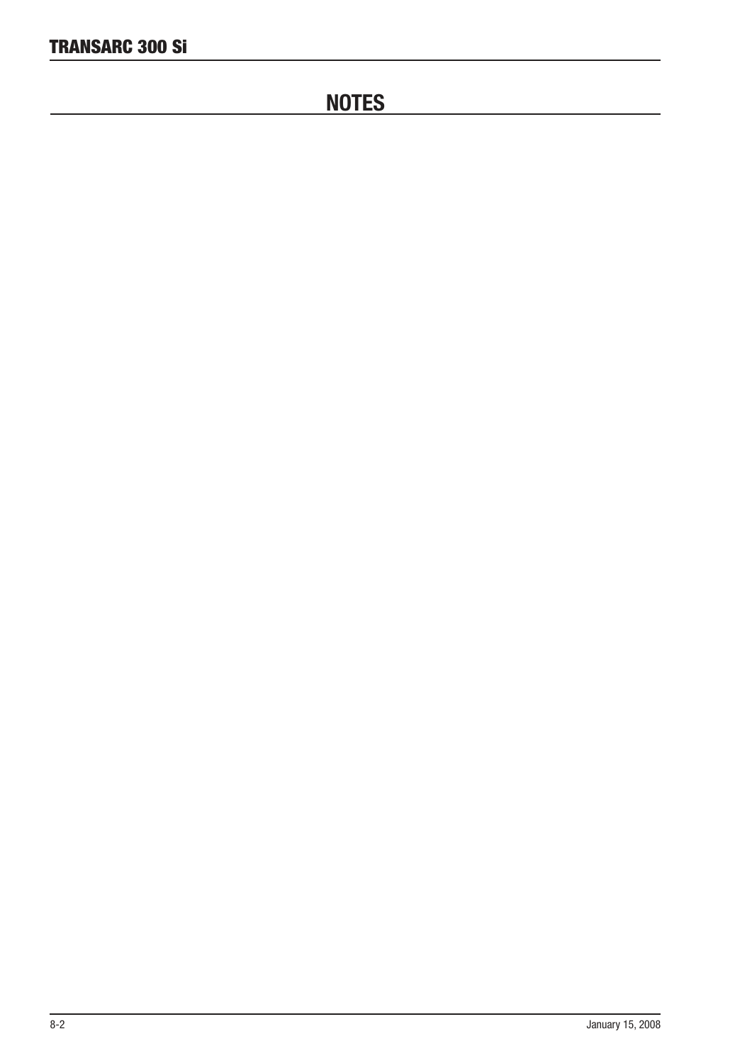# **NOTES**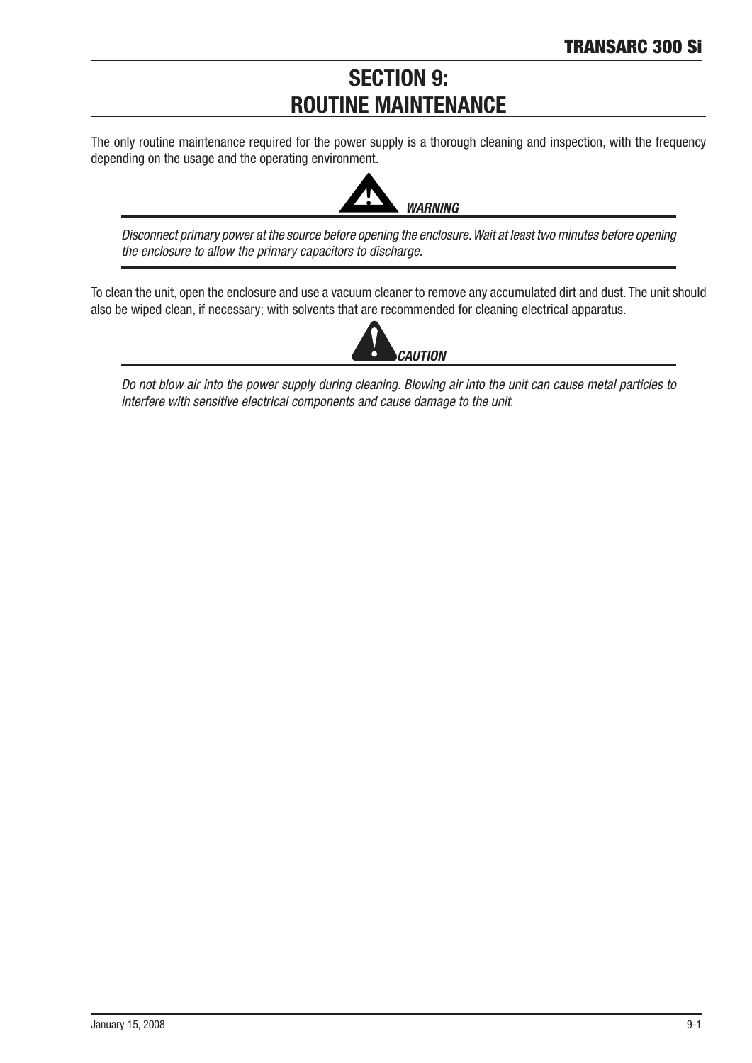# **SECTION 9: ROUTINE MAINTENANCE**

The only routine maintenance required for the power supply is a thorough cleaning and inspection, with the frequency depending on the usage and the operating environment.



Disconnect primary power at the source before opening the enclosure. Wait at least two minutes before opening the enclosure to allow the primary capacitors to discharge.

To clean the unit, open the enclosure and use a vacuum cleaner to remove any accumulated dirt and dust. The unit should also be wiped clean, if necessary; with solvents that are recommended for cleaning electrical apparatus.



Do not blow air into the power supply during cleaning. Blowing air into the unit can cause metal particles to interfere with sensitive electrical components and cause damage to the unit.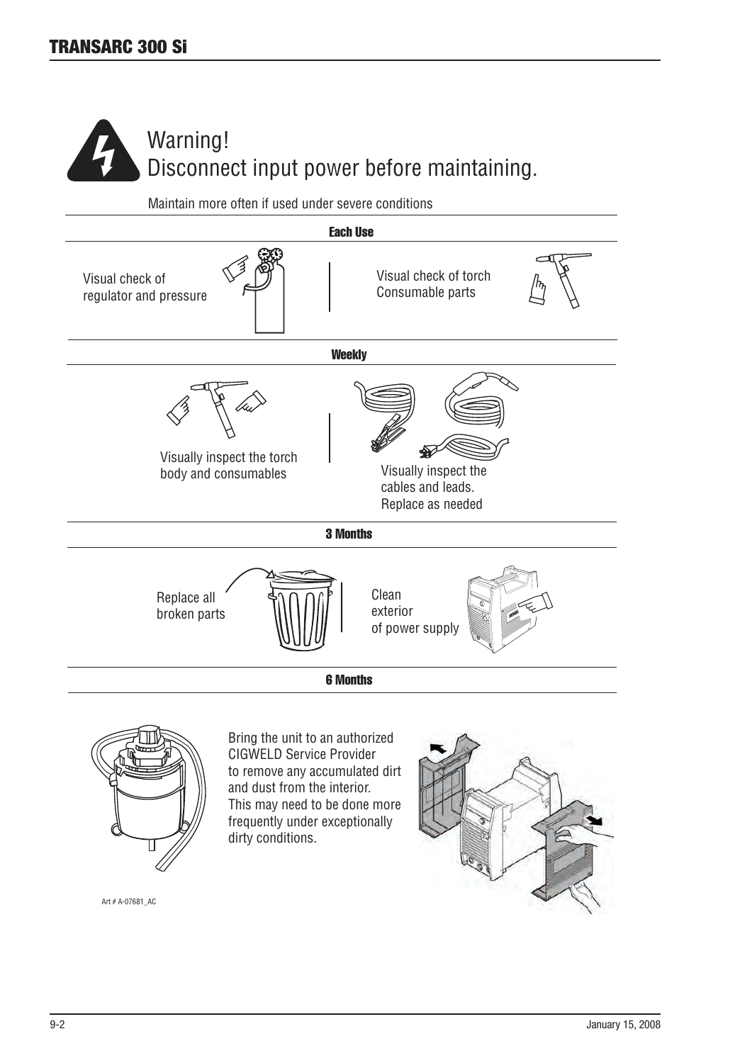

Maintain more often if used under severe conditions



This may need to be done more frequently under exceptionally dirty conditions.

Art # A-07681\_AC

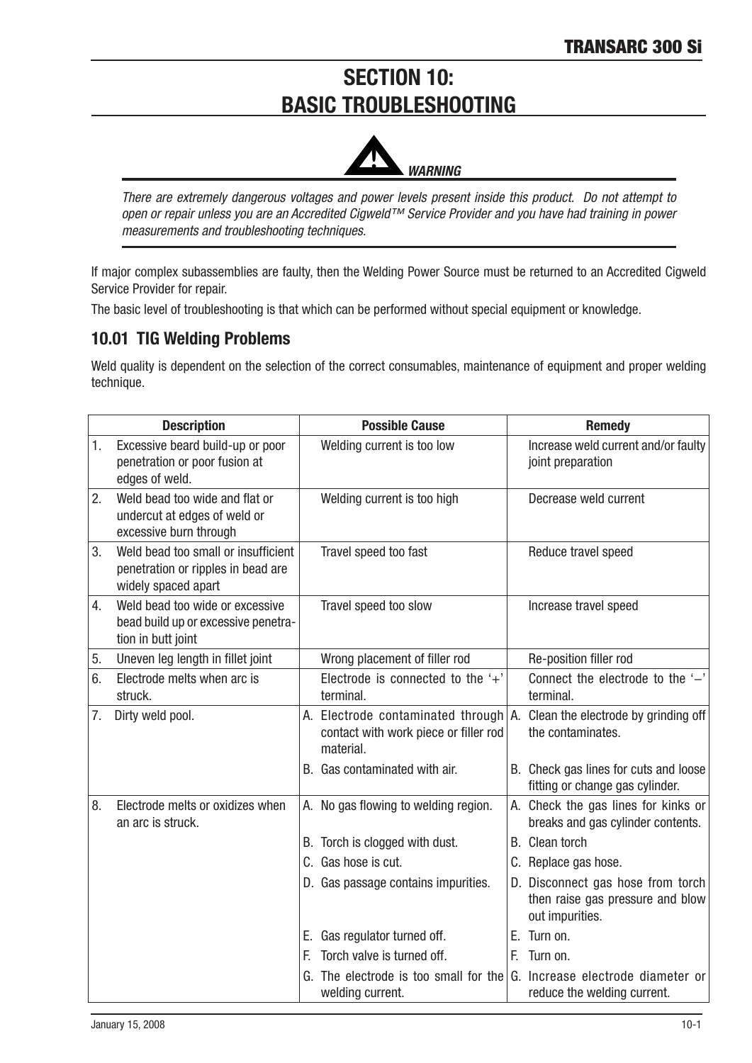# **SECTION 10:** BASIC TROUBLESHOOTING



There are extremely dangerous voltages and power levels present inside this product. Do not attempt to open or repair unless you are an Accredited Cigweld™ Service Provider and you have had training in power measurements and troubleshooting techniques.

If major complex subassemblies are faulty, then the Welding Power Source must be returned to an Accredited Cigweld Service Provider for repair.

The basic level of troubleshooting is that which can be performed without special equipment or knowledge.

# 10.01 TIG Welding Problems

Weld quality is dependent on the selection of the correct consumables, maintenance of equipment and proper welding technique.

|    | <b>Description</b>                                                                               |    | <b>Possible Cause</b>                                                                   |    | <b>Remedy</b>                                                                            |
|----|--------------------------------------------------------------------------------------------------|----|-----------------------------------------------------------------------------------------|----|------------------------------------------------------------------------------------------|
| 1. | Excessive beard build-up or poor<br>penetration or poor fusion at<br>edges of weld.              |    | Welding current is too low                                                              |    | Increase weld current and/or faulty<br>joint preparation                                 |
| 2. | Weld bead too wide and flat or<br>undercut at edges of weld or<br>excessive burn through         |    | Welding current is too high                                                             |    | Decrease weld current                                                                    |
| 3. | Weld bead too small or insufficient<br>penetration or ripples in bead are<br>widely spaced apart |    | Travel speed too fast                                                                   |    | Reduce travel speed                                                                      |
| 4. | Weld bead too wide or excessive<br>bead build up or excessive penetra-<br>tion in butt joint     |    | Travel speed too slow                                                                   |    | Increase travel speed                                                                    |
| 5. | Uneven leg length in fillet joint                                                                |    | Wrong placement of filler rod                                                           |    | Re-position filler rod                                                                   |
| 6. | Electrode melts when arc is<br>struck.                                                           |    | Electrode is connected to the $+$ '<br>terminal.                                        |    | Connect the electrode to the '-'<br>terminal.                                            |
| 7. | Dirty weld pool.                                                                                 |    | A. Electrode contaminated through<br>contact with work piece or filler rod<br>material. |    | A. Clean the electrode by grinding off<br>the contaminates.                              |
|    |                                                                                                  |    | B. Gas contaminated with air.                                                           |    | B. Check gas lines for cuts and loose<br>fitting or change gas cylinder.                 |
| 8. | Electrode melts or oxidizes when<br>an arc is struck.                                            |    | A. No gas flowing to welding region.                                                    |    | A. Check the gas lines for kinks or<br>breaks and gas cylinder contents.                 |
|    |                                                                                                  |    | B. Torch is clogged with dust.                                                          |    | B. Clean torch                                                                           |
|    |                                                                                                  |    | C. Gas hose is cut.                                                                     |    | C. Replace gas hose.                                                                     |
|    |                                                                                                  |    | D. Gas passage contains impurities.                                                     |    | D. Disconnect gas hose from torch<br>then raise gas pressure and blow<br>out impurities. |
|    |                                                                                                  | Е. | Gas regulator turned off.                                                               |    | E. Turn on.                                                                              |
|    |                                                                                                  | F. | Torch valve is turned off.                                                              | F. | Turn on.                                                                                 |
|    |                                                                                                  | G. | The electrode is too small for the<br>welding current.                                  |    | G. Increase electrode diameter or<br>reduce the welding current.                         |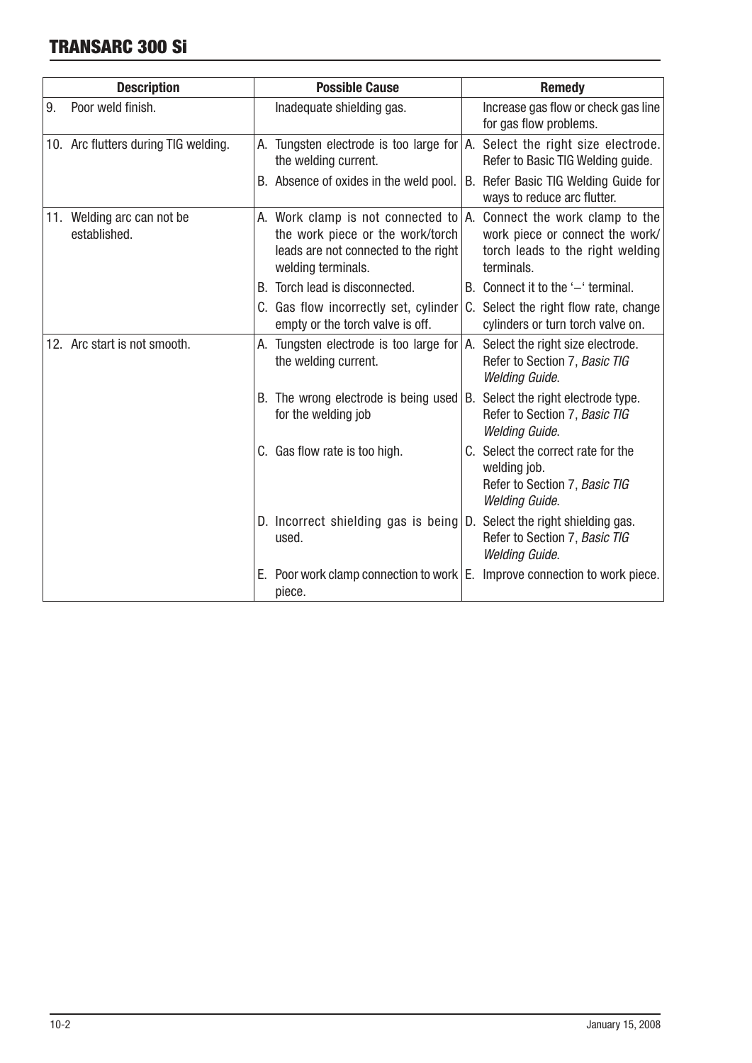# TRANSARC 300 Si

| <b>Description</b> |                                            | <b>Possible Cause</b>                                                                                                                                                     | <b>Remedy</b>                                                                                                |  |  |
|--------------------|--------------------------------------------|---------------------------------------------------------------------------------------------------------------------------------------------------------------------------|--------------------------------------------------------------------------------------------------------------|--|--|
| 9.                 | Poor weld finish.                          | Inadequate shielding gas.                                                                                                                                                 | Increase gas flow or check gas line<br>for gas flow problems.                                                |  |  |
|                    | 10. Arc flutters during TIG welding.       | A. Tungsten electrode is too large for $ A $ . Select the right size electrode.<br>the welding current.                                                                   | Refer to Basic TIG Welding guide.                                                                            |  |  |
|                    |                                            | B. Absence of oxides in the weld pool.                                                                                                                                    | B. Refer Basic TIG Welding Guide for<br>ways to reduce arc flutter.                                          |  |  |
|                    | 11. Welding arc can not be<br>established. | A. Work clamp is not connected to $ A $ . Connect the work clamp to the<br>the work piece or the work/torch<br>leads are not connected to the right<br>welding terminals. | work piece or connect the work/<br>torch leads to the right welding<br>terminals.                            |  |  |
|                    |                                            | Torch lead is disconnected.<br>B.                                                                                                                                         | B. Connect it to the '-' terminal.                                                                           |  |  |
|                    |                                            | C. Gas flow incorrectly set, cylinder<br>empty or the torch valve is off.                                                                                                 | C. Select the right flow rate, change<br>cylinders or turn torch valve on.                                   |  |  |
|                    | 12. Arc start is not smooth.               | Tungsten electrode is too large for $ A $ . Select the right size electrode.<br>А.<br>the welding current.                                                                | Refer to Section 7, Basic TIG<br><b>Welding Guide.</b>                                                       |  |  |
|                    |                                            | B. The wrong electrode is being used $ B $ . Select the right electrode type.<br>for the welding job                                                                      | Refer to Section 7, Basic TIG<br><b>Welding Guide.</b>                                                       |  |  |
|                    |                                            | C. Gas flow rate is too high.                                                                                                                                             | C. Select the correct rate for the<br>welding job.<br>Refer to Section 7, Basic TIG<br><b>Welding Guide.</b> |  |  |
|                    |                                            | D. Incorrect shielding gas is being D. Select the right shielding gas.<br>used.                                                                                           | Refer to Section 7, Basic TIG<br><b>Welding Guide.</b>                                                       |  |  |
|                    |                                            | Poor work clamp connection to work E. Improve connection to work piece.<br>Е.<br>piece.                                                                                   |                                                                                                              |  |  |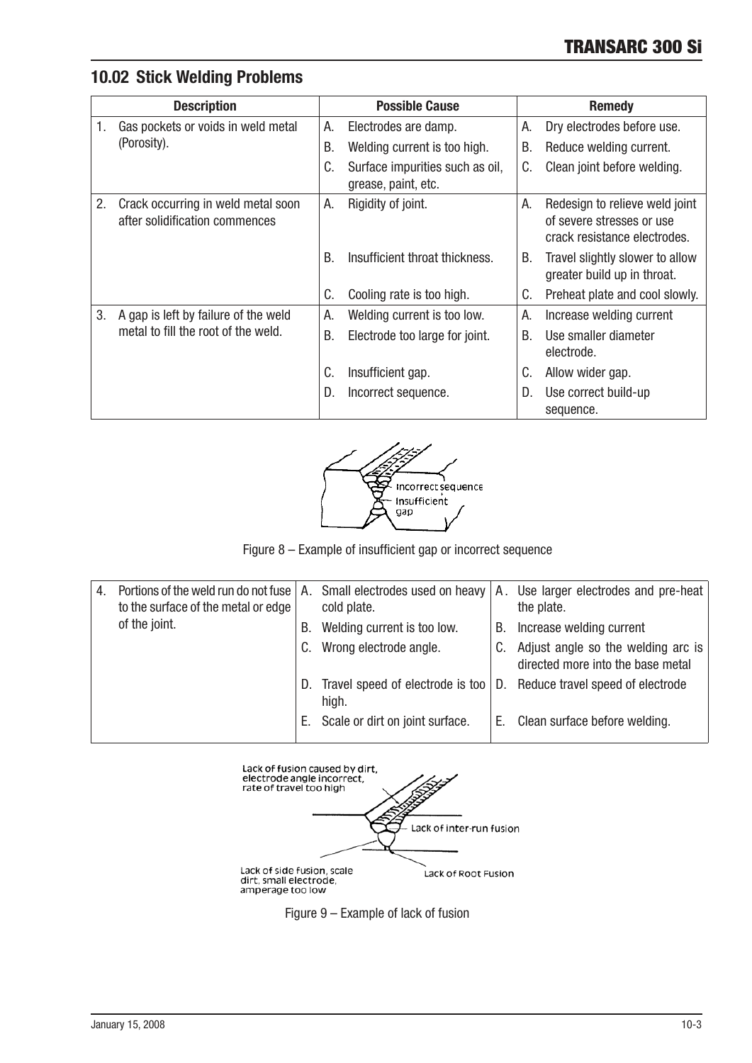# 10.02 Stick Welding Problems

| <b>Description</b> |                                                                      |    | <b>Possible Cause</b>                                  | <b>Remedy</b> |                                                                                             |
|--------------------|----------------------------------------------------------------------|----|--------------------------------------------------------|---------------|---------------------------------------------------------------------------------------------|
| 1.                 | Gas pockets or voids in weld metal                                   | А. | Electrodes are damp.                                   | А.            | Dry electrodes before use.                                                                  |
|                    | (Porosity).                                                          | В. | Welding current is too high.                           | В.            | Reduce welding current.                                                                     |
|                    |                                                                      | C. | Surface impurities such as oil,<br>grease, paint, etc. | C.            | Clean joint before welding.                                                                 |
| 2.                 | Crack occurring in weld metal soon<br>after solidification commences | А. | Rigidity of joint.                                     | А.            | Redesign to relieve weld joint<br>of severe stresses or use<br>crack resistance electrodes. |
|                    |                                                                      | B. | Insufficient throat thickness.                         | В.            | Travel slightly slower to allow<br>greater build up in throat.                              |
|                    |                                                                      | C. | Cooling rate is too high.                              | C.            | Preheat plate and cool slowly.                                                              |
| 3.                 | A gap is left by failure of the weld                                 | А. | Welding current is too low.                            | А.            | Increase welding current                                                                    |
|                    | metal to fill the root of the weld.                                  | В. | Electrode too large for joint.                         | B.            | Use smaller diameter<br>electrode.                                                          |
|                    |                                                                      | C. | Insufficient gap.                                      | C.            | Allow wider gap.                                                                            |
|                    |                                                                      | D. | Incorrect sequence.                                    | D.            | Use correct build-up<br>sequence.                                                           |



Figure 8 – Example of insufficient gap or incorrect sequence

| 4. | Portions of the weld run do not fuse $ A $ . Small electrodes used on heavy<br>to the surface of the metal or edge |    | cold plate.                               |    | A. Use larger electrodes and pre-heat<br>the plate.                     |
|----|--------------------------------------------------------------------------------------------------------------------|----|-------------------------------------------|----|-------------------------------------------------------------------------|
|    | of the joint.                                                                                                      | В. | Welding current is too low.               | В. | Increase welding current                                                |
|    |                                                                                                                    | C. | Wrong electrode angle.                    |    | Adjust angle so the welding arc is<br>directed more into the base metal |
|    |                                                                                                                    | D. | Travel speed of electrode is too<br>high. |    | D. Reduce travel speed of electrode                                     |
|    |                                                                                                                    |    | E. Scale or dirt on joint surface.        | Е. | Clean surface before welding.                                           |



Figure  $9$  – Example of lack of fusion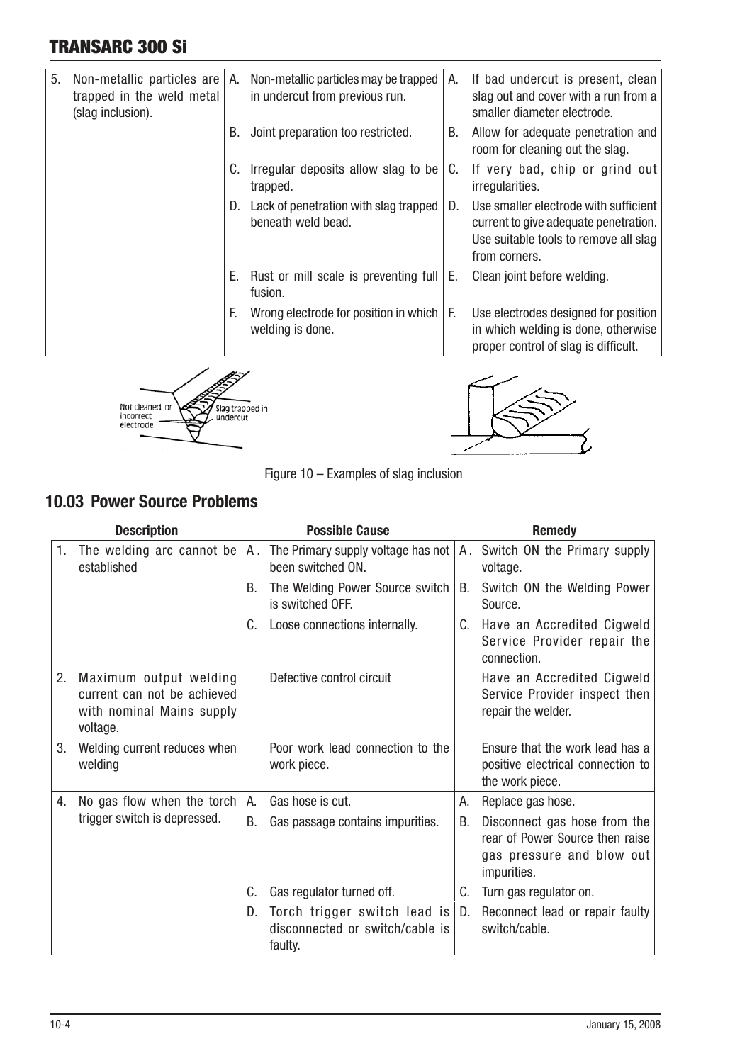# TRANSARC 300 Si

| 5.<br>Non-metallic particles are $ A$ .<br>trapped in the weld metal<br>(slag inclusion). |    | Non-metallic particles may be trapped<br>in undercut from previous run. | А. | If bad undercut is present, clean<br>slag out and cover with a run from a<br>smaller diameter electrode.                                 |  |
|-------------------------------------------------------------------------------------------|----|-------------------------------------------------------------------------|----|------------------------------------------------------------------------------------------------------------------------------------------|--|
|                                                                                           | В. | Joint preparation too restricted.                                       | В. | Allow for adequate penetration and<br>room for cleaning out the slag.                                                                    |  |
|                                                                                           | C. | Irregular deposits allow slag to be<br>trapped.                         | C. | If very bad, chip or grind out<br>irregularities.                                                                                        |  |
|                                                                                           | D. | Lack of penetration with slag trapped<br>beneath weld bead.             | D. | Use smaller electrode with sufficient<br>current to give adequate penetration.<br>Use suitable tools to remove all slag<br>from corners. |  |
|                                                                                           | Е. | Rust or mill scale is preventing full<br>fusion.                        | Е. | Clean joint before welding.                                                                                                              |  |
|                                                                                           | E. | Wrong electrode for position in which<br>welding is done.               | F. | Use electrodes designed for position<br>in which welding is done, otherwise<br>proper control of slag is difficult.                      |  |
| Not cleaned, or<br>Slag trapped ir<br>undercut<br>electrode                               |    |                                                                         |    |                                                                                                                                          |  |

Figure  $10$  – Examples of slag inclusion

# **10.03 Power Source Problems**

| <b>Description</b> |                                                                                                |    | <b>Possible Cause</b>                                                                         | <b>Remedy</b> |                                                                                                             |  |
|--------------------|------------------------------------------------------------------------------------------------|----|-----------------------------------------------------------------------------------------------|---------------|-------------------------------------------------------------------------------------------------------------|--|
| 1.                 | established                                                                                    |    | The welding arc cannot be $ A $ . The Primary supply voltage has not $ $<br>been switched ON. |               | A. Switch ON the Primary supply<br>voltage.                                                                 |  |
|                    |                                                                                                | В. | The Welding Power Source switch<br>is switched OFF.                                           | B.            | Switch ON the Welding Power<br>Source.                                                                      |  |
|                    |                                                                                                | C. | Loose connections internally.                                                                 | C.            | Have an Accredited Cigweld<br>Service Provider repair the<br>connection.                                    |  |
| 2.                 | Maximum output welding<br>current can not be achieved<br>with nominal Mains supply<br>voltage. |    | Defective control circuit                                                                     |               | Have an Accredited Cigweld<br>Service Provider inspect then<br>repair the welder.                           |  |
| 3.                 | Welding current reduces when<br>welding                                                        |    | Poor work lead connection to the<br>work piece.                                               |               | Ensure that the work lead has a<br>positive electrical connection to<br>the work piece.                     |  |
| 4.                 | No gas flow when the torch                                                                     | А. | Gas hose is cut.                                                                              | А.            | Replace gas hose.                                                                                           |  |
|                    | trigger switch is depressed.                                                                   | B. | Gas passage contains impurities.                                                              | В.            | Disconnect gas hose from the<br>rear of Power Source then raise<br>gas pressure and blow out<br>impurities. |  |
|                    |                                                                                                | C. | Gas regulator turned off.                                                                     | C.            | Turn gas regulator on.                                                                                      |  |
|                    |                                                                                                | D. | Torch trigger switch lead is<br>disconnected or switch/cable is<br>faulty.                    | D.            | Reconnect lead or repair faulty<br>switch/cable.                                                            |  |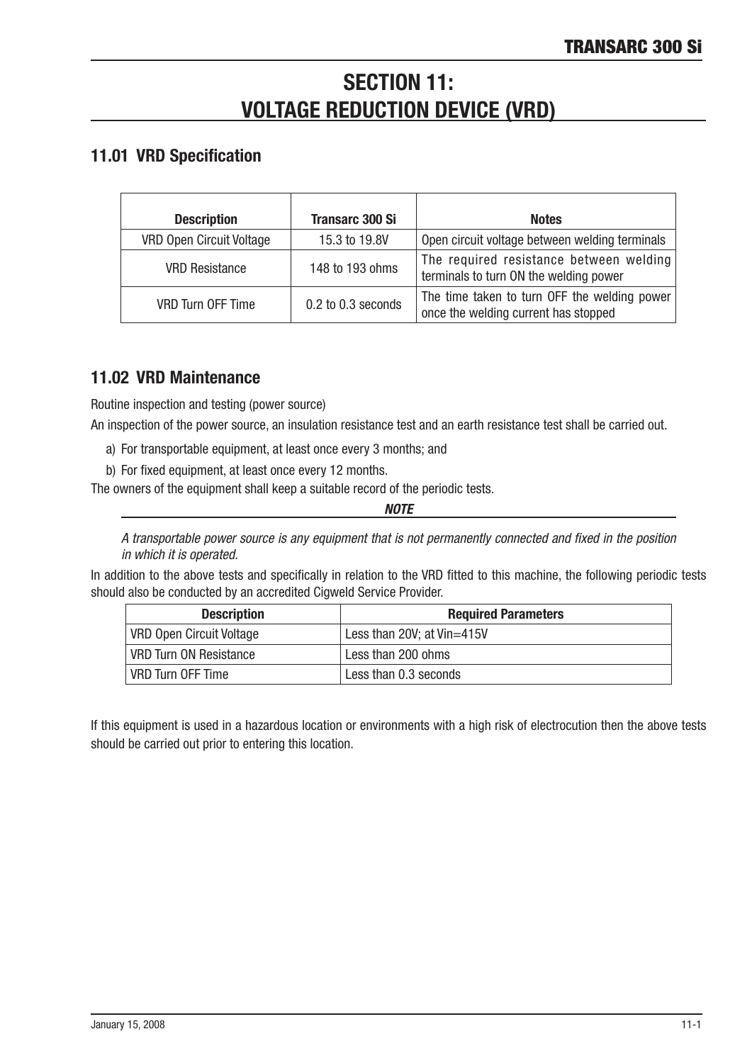# **SECTION 11: VOLTAGE REDUCTION DEVICE (VRD)**

# 11.01 VRD Specification

| <b>Description</b>              | <b>Transarc 300 Si</b> | <b>Notes</b>                                                                         |
|---------------------------------|------------------------|--------------------------------------------------------------------------------------|
| <b>VRD Open Circuit Voltage</b> | 15.3 to 19.8V          | Open circuit voltage between welding terminals                                       |
| <b>VRD Resistance</b>           | 148 to 193 ohms        | The required resistance between welding<br>terminals to turn ON the welding power    |
| <b>VRD Turn OFF Time</b>        | 0.2 to 0.3 seconds     | The time taken to turn OFF the welding power<br>once the welding current has stopped |

# 11.02 VRD Maintenance

Routine inspection and testing (power source)

An inspection of the power source, an insulation resistance test and an earth resistance test shall be carried out.

- a) For transportable equipment, at least once every 3 months; and
- b) For fixed equipment, at least once every 12 months.

The owners of the equipment shall keep a suitable record of the periodic tests.

*NOTE*

A transportable power source is any equipment that is not permanently connected and fixed in the position in which it is operated.

In addition to the above tests and specifically in relation to the VRD fitted to this machine, the following periodic tests should also be conducted by an accredited Cigweld Service Provider.

| <b>Description</b>              | <b>Required Parameters</b> |
|---------------------------------|----------------------------|
| <b>VRD Open Circuit Voltage</b> | Less than 20V; at Vin=415V |
| VRD Turn ON Resistance          | Less than 200 ohms         |
| VRD Turn OFF Time               | Less than 0.3 seconds      |

If this equipment is used in a hazardous location or environments with a high risk of electrocution then the above tests should be carried out prior to entering this location.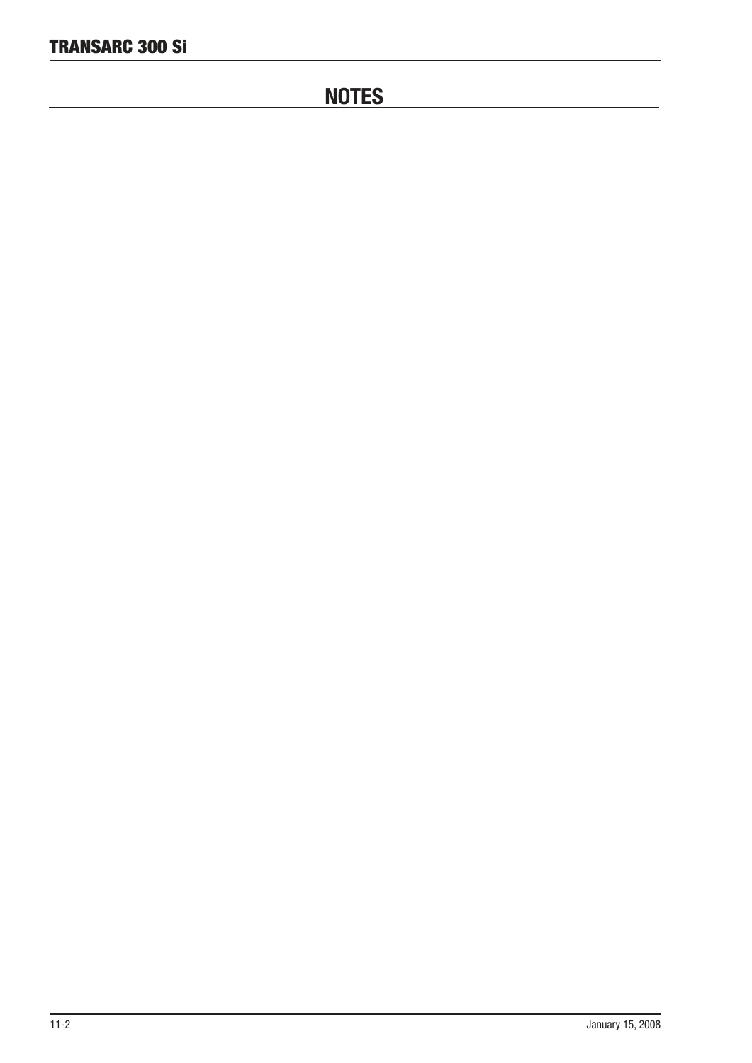# **NOTES**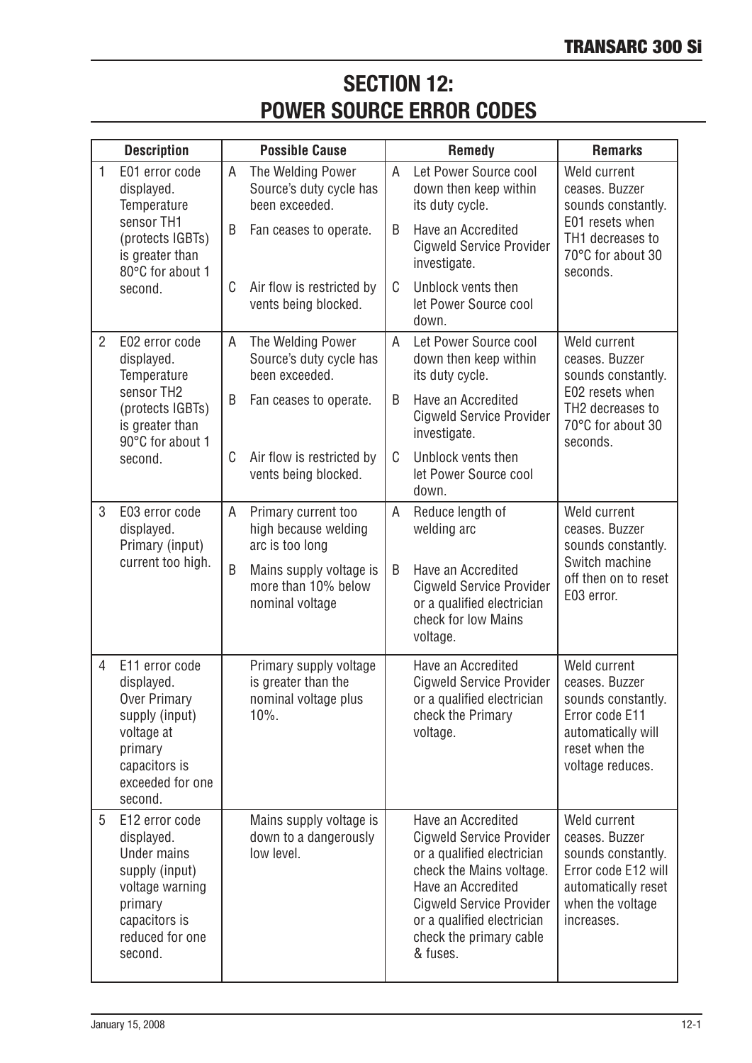# **SECTION 12: POWER SOURCE ERROR CODES**

|                | <b>Description</b><br><b>Possible Cause</b>                                                                                                       |   |                                                                               | <b>Remedy</b> | <b>Remarks</b>                                                                                                                                                                                                                                |                                                                                                                                      |
|----------------|---------------------------------------------------------------------------------------------------------------------------------------------------|---|-------------------------------------------------------------------------------|---------------|-----------------------------------------------------------------------------------------------------------------------------------------------------------------------------------------------------------------------------------------------|--------------------------------------------------------------------------------------------------------------------------------------|
| $\mathbf{1}$   | E01 error code<br>displayed.<br>Temperature<br>sensor TH1                                                                                         |   | The Welding Power<br>Source's duty cycle has<br>been exceeded.                | A             | Let Power Source cool<br>down then keep within<br>its duty cycle.                                                                                                                                                                             | Weld current<br>ceases. Buzzer<br>sounds constantly.                                                                                 |
|                | (protects IGBTs)<br>is greater than<br>80°C for about 1<br>second.                                                                                | B | Fan ceases to operate.                                                        | B             | Have an Accredited<br><b>Cigweld Service Provider</b><br>investigate.                                                                                                                                                                         | E01 resets when<br>TH1 decreases to<br>70°C for about 30<br>seconds.                                                                 |
|                |                                                                                                                                                   | C | Air flow is restricted by<br>vents being blocked.                             | C             | Unblock vents then<br>let Power Source cool<br>down.                                                                                                                                                                                          |                                                                                                                                      |
| $\overline{2}$ | E02 error code<br>displayed.<br>Temperature                                                                                                       | A | The Welding Power<br>Source's duty cycle has<br>been exceeded.                | A             | Let Power Source cool<br>down then keep within<br>its duty cycle.                                                                                                                                                                             | Weld current<br>ceases. Buzzer<br>sounds constantly.                                                                                 |
|                | sensor TH2<br>(protects IGBTs)<br>is greater than<br>90°C for about 1                                                                             | B | Fan ceases to operate.                                                        | B             | Have an Accredited<br><b>Cigweld Service Provider</b><br>investigate.                                                                                                                                                                         | E02 resets when<br>TH2 decreases to<br>70°C for about 30<br>seconds.                                                                 |
|                | second.                                                                                                                                           | C | Air flow is restricted by<br>vents being blocked.                             | C             | Unblock vents then<br>let Power Source cool<br>down.                                                                                                                                                                                          |                                                                                                                                      |
| 3              | E03 error code<br>displayed.<br>Primary (input)<br>current too high.                                                                              | A | Primary current too<br>high because welding<br>arc is too long                | Α             | Reduce length of<br>welding arc                                                                                                                                                                                                               | Weld current<br>ceases. Buzzer<br>sounds constantly.                                                                                 |
|                |                                                                                                                                                   | B | Mains supply voltage is<br>more than 10% below<br>nominal voltage             | B             | Have an Accredited<br><b>Cigweld Service Provider</b><br>or a qualified electrician<br>check for low Mains<br>voltage.                                                                                                                        | Switch machine<br>off then on to reset<br>E03 error.                                                                                 |
| 4              | E11 error code<br>displayed.<br><b>Over Primary</b><br>supply (input)<br>voltage at<br>primary<br>capacitors is<br>exceeded for one<br>second.    |   | Primary supply voltage<br>is greater than the<br>nominal voltage plus<br>10%. |               | Have an Accredited<br><b>Cigweld Service Provider</b><br>or a qualified electrician<br>check the Primary<br>voltage.                                                                                                                          | Weld current<br>ceases. Buzzer<br>sounds constantly.<br>Error code E11<br>automatically will<br>reset when the<br>voltage reduces.   |
| 5              | E12 error code<br>displayed.<br><b>Under mains</b><br>supply (input)<br>voltage warning<br>primary<br>capacitors is<br>reduced for one<br>second. |   | Mains supply voltage is<br>down to a dangerously<br>low level.                |               | Have an Accredited<br><b>Cigweld Service Provider</b><br>or a qualified electrician<br>check the Mains voltage.<br>Have an Accredited<br><b>Cigweld Service Provider</b><br>or a qualified electrician<br>check the primary cable<br>& fuses. | Weld current<br>ceases. Buzzer<br>sounds constantly.<br>Error code E12 will<br>automatically reset<br>when the voltage<br>increases. |

I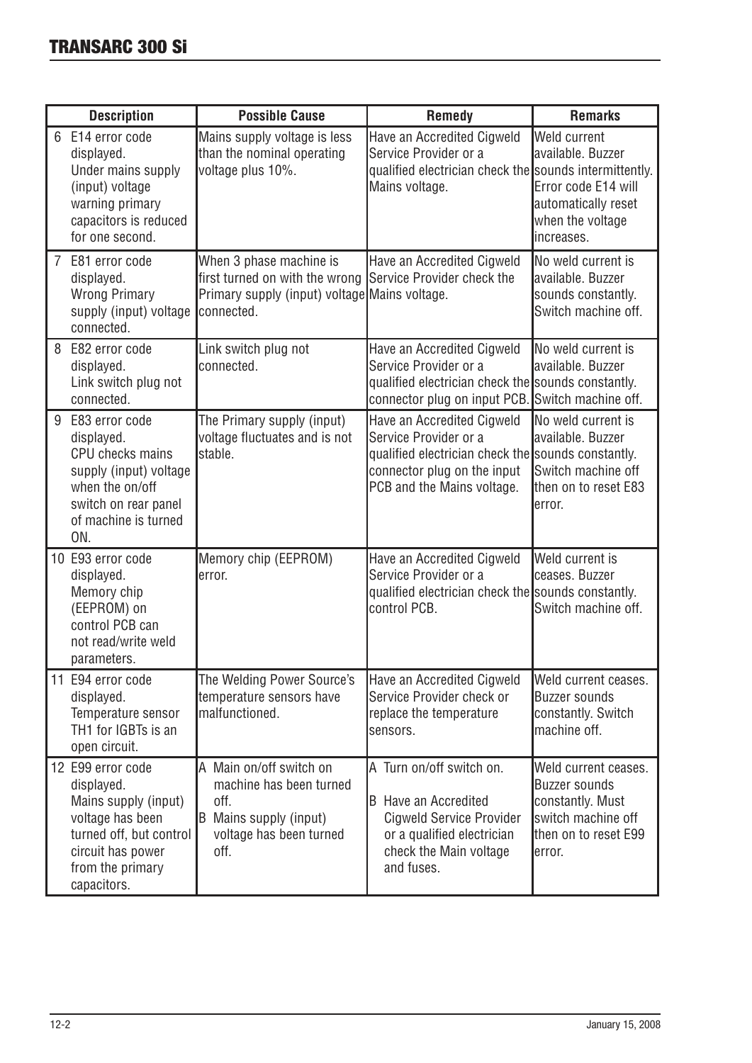| <b>Description</b> |                                                                                                                                                                | <b>Possible Cause</b>                                                                                                                               | <b>Remedy</b>                                                                                                                                                          | <b>Remarks</b>                                                                                                           |
|--------------------|----------------------------------------------------------------------------------------------------------------------------------------------------------------|-----------------------------------------------------------------------------------------------------------------------------------------------------|------------------------------------------------------------------------------------------------------------------------------------------------------------------------|--------------------------------------------------------------------------------------------------------------------------|
|                    | E14 error code<br>displayed.<br>Under mains supply<br>(input) voltage<br>warning primary<br>capacitors is reduced<br>for one second.                           | Mains supply voltage is less<br>than the nominal operating<br>voltage plus 10%.                                                                     | Have an Accredited Cigweld<br>Service Provider or a<br>qualified electrician check the sounds intermittently.<br>Mains voltage.                                        | Weld current<br>available. Buzzer<br>Error code E14 will<br>automatically reset<br>when the voltage<br>increases.        |
| 7                  | E81 error code<br>displayed.<br><b>Wrong Primary</b><br>supply (input) voltage<br>connected.                                                                   | When 3 phase machine is<br>first turned on with the wrong Service Provider check the<br>Primary supply (input) voltage Mains voltage.<br>connected. | Have an Accredited Cigweld                                                                                                                                             | No weld current is<br>available. Buzzer<br>sounds constantly.<br>Switch machine off.                                     |
|                    | E82 error code<br>displayed.<br>Link switch plug not<br>connected.                                                                                             | Link switch plug not<br>connected.                                                                                                                  | Have an Accredited Cigweld<br>Service Provider or a<br>qualified electrician check the sounds constantly.<br>connector plug on input PCB. Switch machine off.          | No weld current is<br>available. Buzzer                                                                                  |
| 9                  | E83 error code<br>displayed.<br><b>CPU</b> checks mains<br>supply (input) voltage<br>when the on/off<br>switch on rear panel<br>of machine is turned<br>ON.    | The Primary supply (input)<br>voltage fluctuates and is not<br>stable.                                                                              | Have an Accredited Cigweld<br>Service Provider or a<br>qualified electrician check the sounds constantly.<br>connector plug on the input<br>PCB and the Mains voltage. | No weld current is<br>available, Buzzer<br>Switch machine off<br>then on to reset E83<br>error.                          |
|                    | 10 E93 error code<br>displayed.<br>Memory chip<br>(EEPROM) on<br>control PCB can<br>not read/write weld<br>parameters.                                         | Memory chip (EEPROM)<br>error.                                                                                                                      | Have an Accredited Cigweld<br>Service Provider or a<br>qualified electrician check the sounds constantly.<br>control PCB.                                              | Weld current is<br>ceases. Buzzer<br>Switch machine off.                                                                 |
|                    | 11 E94 error code<br>displayed.<br>Temperature sensor<br>TH1 for IGBTs is an<br>open circuit.                                                                  | The Welding Power Source's<br>temperature sensors have<br>malfunctioned.                                                                            | Have an Accredited Cigweld<br>Service Provider check or<br>replace the temperature<br>sensors.                                                                         | Weld current ceases.<br><b>Buzzer sounds</b><br>constantly. Switch<br>machine off.                                       |
|                    | 12 E99 error code<br>displayed.<br>Mains supply (input)<br>voltage has been<br>turned off, but control<br>circuit has power<br>from the primary<br>capacitors. | A Main on/off switch on<br>machine has been turned<br>off.<br>B Mains supply (input)<br>voltage has been turned<br>off.                             | A Turn on/off switch on.<br><b>B</b> Have an Accredited<br><b>Cigweld Service Provider</b><br>or a qualified electrician<br>check the Main voltage<br>and fuses.       | Weld current ceases.<br><b>Buzzer sounds</b><br>constantly. Must<br>switch machine off<br>then on to reset E99<br>error. |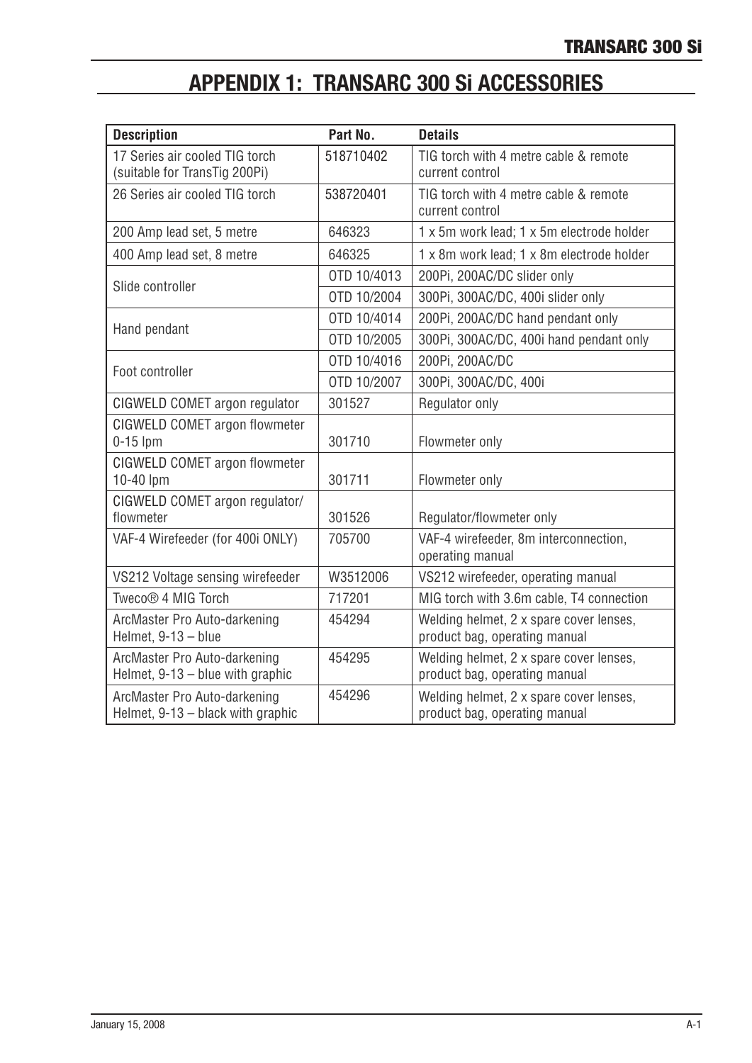# **APPENDIX 1: TRANSARC 300 Si ACCESSORIES**

| <b>Description</b>                                                 | Part No.    | <b>Details</b>                                                           |
|--------------------------------------------------------------------|-------------|--------------------------------------------------------------------------|
| 17 Series air cooled TIG torch<br>(suitable for TransTig 200Pi)    | 518710402   | TIG torch with 4 metre cable & remote<br>current control                 |
| 26 Series air cooled TIG torch                                     | 538720401   | TIG torch with 4 metre cable & remote<br>current control                 |
| 200 Amp lead set, 5 metre                                          | 646323      | 1 x 5m work lead; 1 x 5m electrode holder                                |
| 400 Amp lead set, 8 metre                                          | 646325      | 1 x 8m work lead; 1 x 8m electrode holder                                |
| Slide controller                                                   | OTD 10/4013 | 200Pi, 200AC/DC slider only                                              |
|                                                                    | OTD 10/2004 | 300Pi, 300AC/DC, 400i slider only                                        |
|                                                                    | OTD 10/4014 | 200Pi, 200AC/DC hand pendant only                                        |
| Hand pendant                                                       | OTD 10/2005 | 300Pi, 300AC/DC, 400i hand pendant only                                  |
| Foot controller                                                    | OTD 10/4016 | 200Pi, 200AC/DC                                                          |
|                                                                    | OTD 10/2007 | 300Pi, 300AC/DC, 400i                                                    |
| CIGWELD COMET argon regulator                                      | 301527      | Regulator only                                                           |
| CIGWELD COMET argon flowmeter<br>$0-15$ lpm                        | 301710      | Flowmeter only                                                           |
| CIGWELD COMET argon flowmeter<br>10-40 lpm                         | 301711      | Flowmeter only                                                           |
| CIGWELD COMET argon regulator/<br>flowmeter                        | 301526      | Regulator/flowmeter only                                                 |
| VAF-4 Wirefeeder (for 400i ONLY)                                   | 705700      | VAF-4 wirefeeder, 8m interconnection,<br>operating manual                |
| VS212 Voltage sensing wirefeeder                                   | W3512006    | VS212 wirefeeder, operating manual                                       |
| Tweco® 4 MIG Torch                                                 | 717201      | MIG torch with 3.6m cable, T4 connection                                 |
| ArcMaster Pro Auto-darkening<br>Helmet, 9-13 - blue                | 454294      | Welding helmet, 2 x spare cover lenses,<br>product bag, operating manual |
| ArcMaster Pro Auto-darkening<br>Helmet, $9-13 -$ blue with graphic | 454295      | Welding helmet, 2 x spare cover lenses,<br>product bag, operating manual |
| ArcMaster Pro Auto-darkening<br>Helmet, 9-13 - black with graphic  | 454296      | Welding helmet, 2 x spare cover lenses,<br>product bag, operating manual |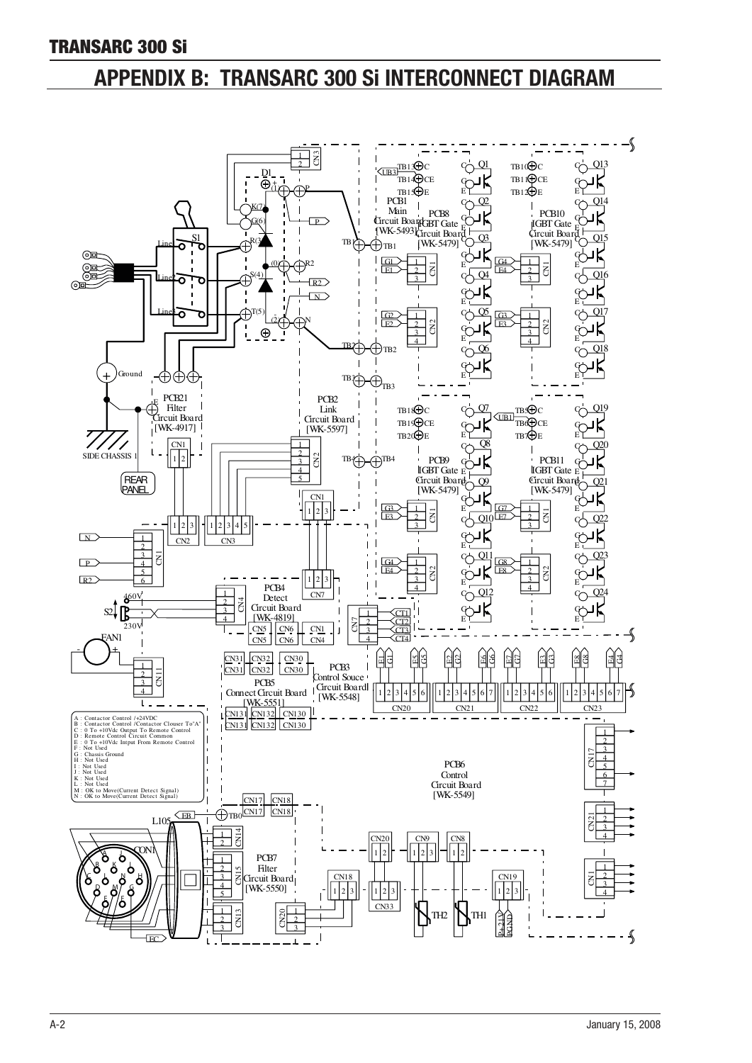# APPENDIX B: TRANSARC 300 Si INTERCONNECT DIAGRAM

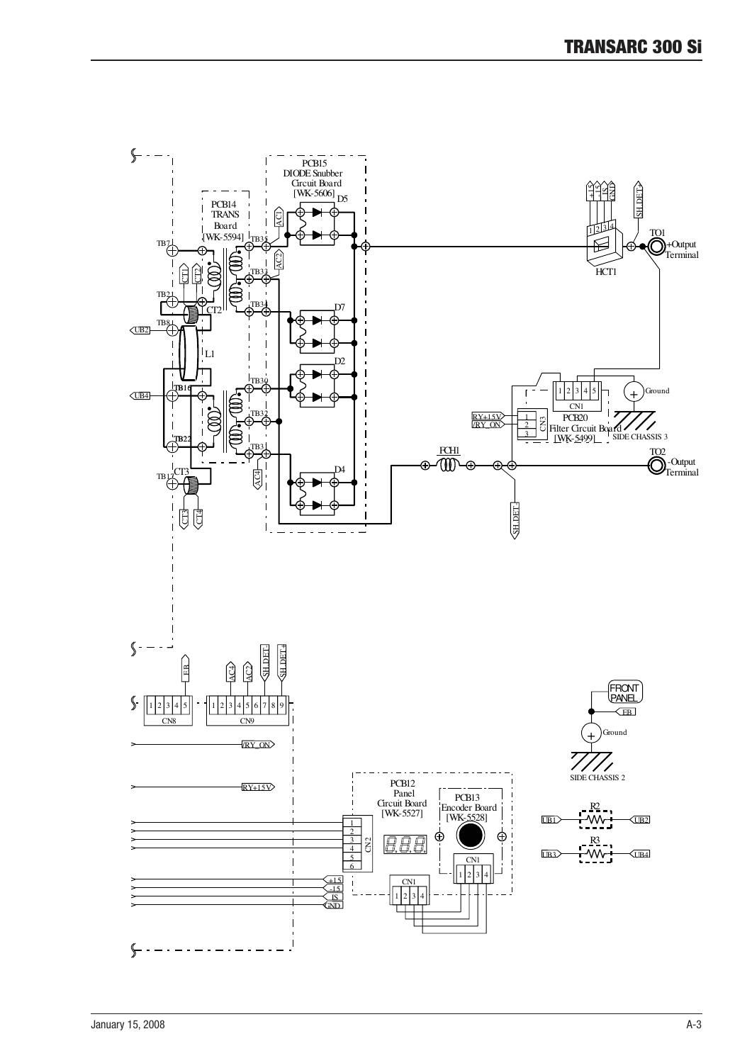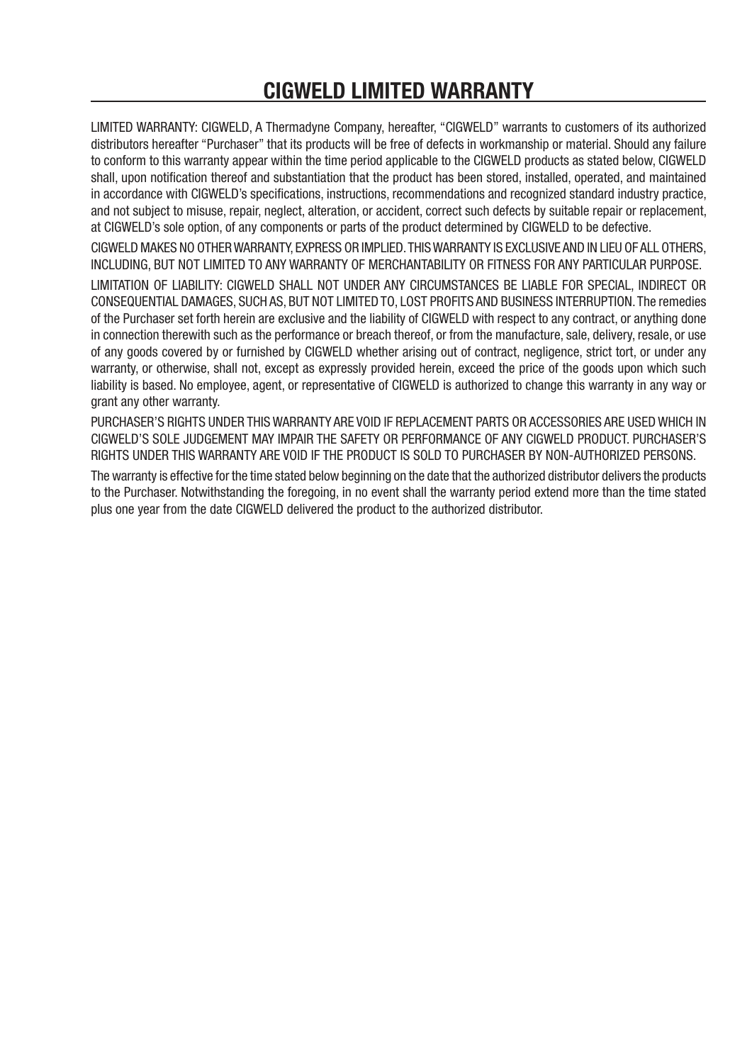# CIGWELD LIMITED WARRANTY

LIMITED WARRANTY: CIGWELD, A Thermadyne Company, hereafter, "CIGWELD" warrants to customers of its authorized distributors hereafter "Purchaser" that its products will be free of defects in workmanship or material. Should any failure to conform to this warranty appear within the time period applicable to the CIGWELD products as stated below, CIGWELD shall, upon notification thereof and substantiation that the product has been stored, installed, operated, and maintained in accordance with CIGWELD's specifications, instructions, recommendations and recognized standard industry practice, and not subject to misuse, repair, neglect, alteration, or accident, correct such defects by suitable repair or replacement, at CIGWELD's sole opton, of any components or parts of the product determned by CIGWELD to be defectve.

CIGWELD MAKES NO OTHER WARRANTY, EXPRESS OR IMPLIED. THIS WARRANTY IS EXCLUSIVE AND IN LIEU OF ALL OTHERS, INCLUDING, BUT NOT LIMITED TO ANY WARRANTY OF MERCHANTABILITY OR FITNESS FOR ANY PARTICULAR PURPOSE. LIMITATION OF LIABILITY: CIGWELD SHALL NOT UNDER ANY CIRCUMSTANCES BE LIABLE FOR SPECIAL, INDIRECT OR CONSEQUENTIAL DAMAGES, SUCH AS, BUT NOT LIMITED TO, LOST PROFITS AND BUSINESS INTERRUPTION. The remedes of the Purchaser set forth herein are exclusive and the liability of CIGWELD with respect to any contract, or anything done in connection therewith such as the performance or breach thereof, or from the manufacture, sale, delivery, resale, or use of any goods covered by or furnished by CIGWELD whether arising out of contract, negligence, strict tort, or under any warranty, or otherwise, shall not, except as expressly provided herein, exceed the price of the goods upon which such liability is based. No employee, agent, or representative of CIGWELD is authorized to change this warranty in any way or grant any other warranty.

PURCHASER'S RIGHTS UNDER THIS WARRANTY ARE VOID IF REPLACEMENT PARTS OR ACCESSORIES ARE USED WHICH IN CIGWELD'S SOLE JUDGEMENT MAY IMPAIR THE SAFETY OR PERFORMANCE OF ANY CIGWELD PRODUCT. PURCHASER'S RIGHTS UNDER THIS WARRANTY ARE VOID IF THE PRODUCT IS SOLD TO PURCHASER BY NON-AUTHORIZED PERSONS.

The warranty is effective for the time stated below beginning on the date that the authorized distributor delivers the products to the Purchaser. Notwithstanding the foregoing, in no event shall the warranty period extend more than the time stated plus one year from the date CIGWELD delivered the product to the authorized distributor.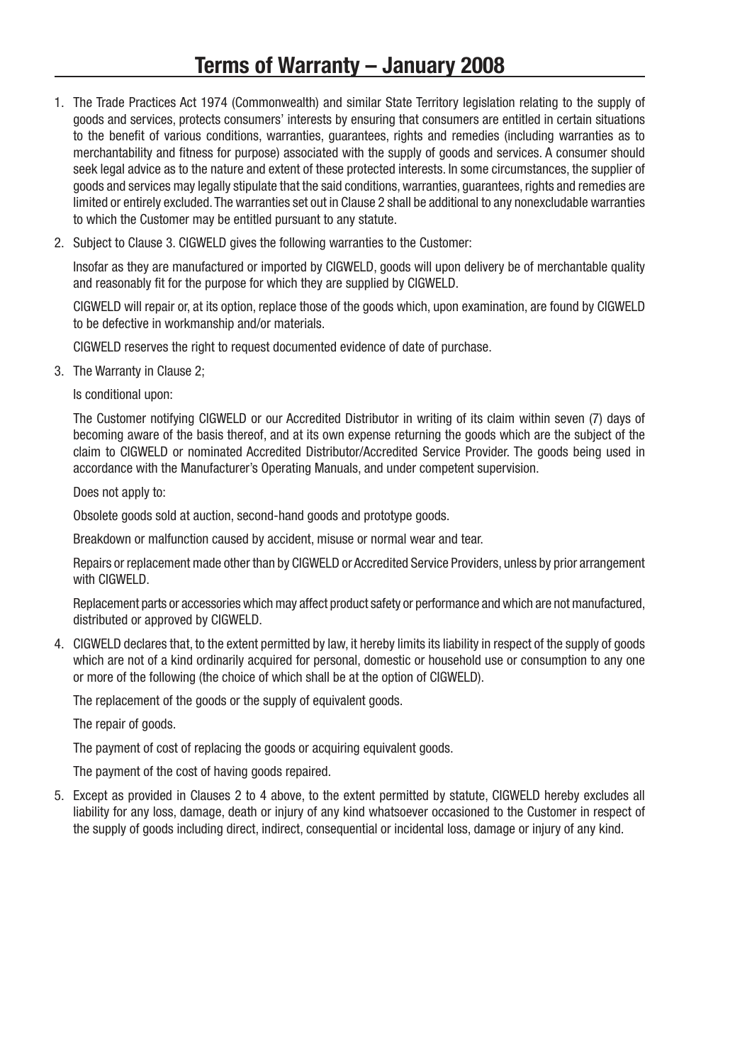# Terms of Warranty – January 2008

- 1. The Trade Practices Act 1974 (Commonwealth) and similar State Territory legislation relating to the supply of goods and services, protects consumers' interests by ensuring that consumers are entitled in certain situations to the benefit of various conditions, warranties, guarantees, rights and remedies (including warranties as to merchantability and fitness for purpose) associated with the supply of goods and services. A consumer should seek legal advice as to the nature and extent of these protected interests. In some circumstances, the supplier of goods and services may legally stipulate that the said conditions, warranties, guarantees, rights and remedies are limited or entirely excluded. The warranties set out in Clause 2 shall be additional to any nonexcludable warranties to which the Customer may be entitled pursuant to any statute.
- 2. Subject to Clause 3. CIGWELD gives the following warranties to the Customer:

Insofar as they are manufactured or imported by CIGWELD, goods will upon delivery be of merchantable quality and reasonably fit for the purpose for which they are supplied by CIGWELD.

CIGWELD will repair or, at its option, replace those of the goods which, upon examination, are found by CIGWELD to be defective in workmanship and/or materials.

CIGWELD reserves the right to request documented evidence of date of purchase.

3. The Warranty in Clause 2;

Is conditional upon:

The Customer notifying CIGWELD or our Accredited Distributor in writing of its claim within seven (7) days of becoming aware of the basis thereof, and at its own expense returning the goods which are the subject of the claim to CIGWELD or nominated Accredited Distributor/Accredited Service Provider. The goods being used in accordance with the Manufacturer's Operating Manuals, and under competent supervision.

Does not apply to:

Obsolete goods sold at auction, second-hand goods and prototype goods.

Breakdown or malfunction caused by accident, misuse or normal wear and tear.

Repairs or replacement made other than by CIGWELD or Accredited Service Providers, unless by prior arrangement with CIGWELD.

Replacement parts or accessories which may affect product safety or performance and which are not manufactured, distributed or approved by CIGWELD.

4. CIGWELD declares that, to the extent permitted by law, it hereby limits its liability in respect of the supply of goods which are not of a kind ordinarily acquired for personal, domestic or household use or consumption to any one or more of the following (the choice of which shall be at the option of CIGWELD).

The replacement of the goods or the supply of equivalent goods.

The repair of goods.

The payment of cost of replacing the goods or acquiring equivalent goods.

The payment of the cost of having goods repaired.

5. Except as provided in Clauses 2 to 4 above, to the extent permitted by statute, CIGWELD hereby excludes all liability for any loss, damage, death or injury of any kind whatsoever occasioned to the Customer in respect of the supply of goods including direct, indirect, consequential or incidental loss, damage or injury of any kind.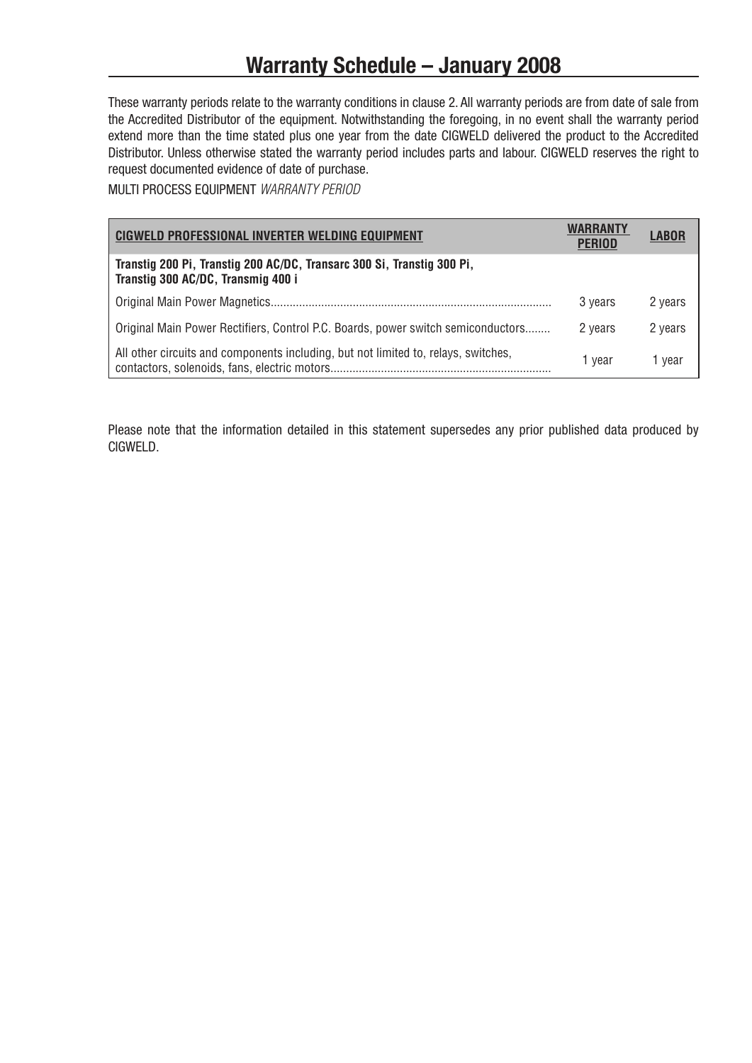# **Warranty Schedule - January 2008**

These warranty periods relate to the warranty conditions in clause 2. All warranty periods are from date of sale from the Accredited Distributor of the equipment. Notwithstanding the foregoing, in no event shall the warranty period extend more than the time stated plus one year from the date CIGWELD delivered the product to the Accredited Distributor. Unless otherwise stated the warranty period includes parts and labour. CIGWELD reserves the right to request documented evdence of date of purchase.

MULTI PROCESS EQUIPMENT WARRANTY PERIOD

| CIGWELD PROFESSIONAL INVERTER WELDING EQUIPMENT                                                              | WARRANTY<br><b>PERIOD</b> | LABOR   |
|--------------------------------------------------------------------------------------------------------------|---------------------------|---------|
| Transtig 200 Pi, Transtig 200 AC/DC, Transarc 300 Si, Transtig 300 Pi,<br>Transtig 300 AC/DC, Transmig 400 i |                           |         |
|                                                                                                              | 3 years                   | 2 years |
| Original Main Power Rectifiers, Control P.C. Boards, power switch semiconductors                             | 2 years                   | 2 years |
| All other circuits and components including, but not limited to, relays, switches,                           | 1 vear                    | 1 vear  |

Please note that the information detailed in this statement supersedes any prior published data produced by CIGWELD.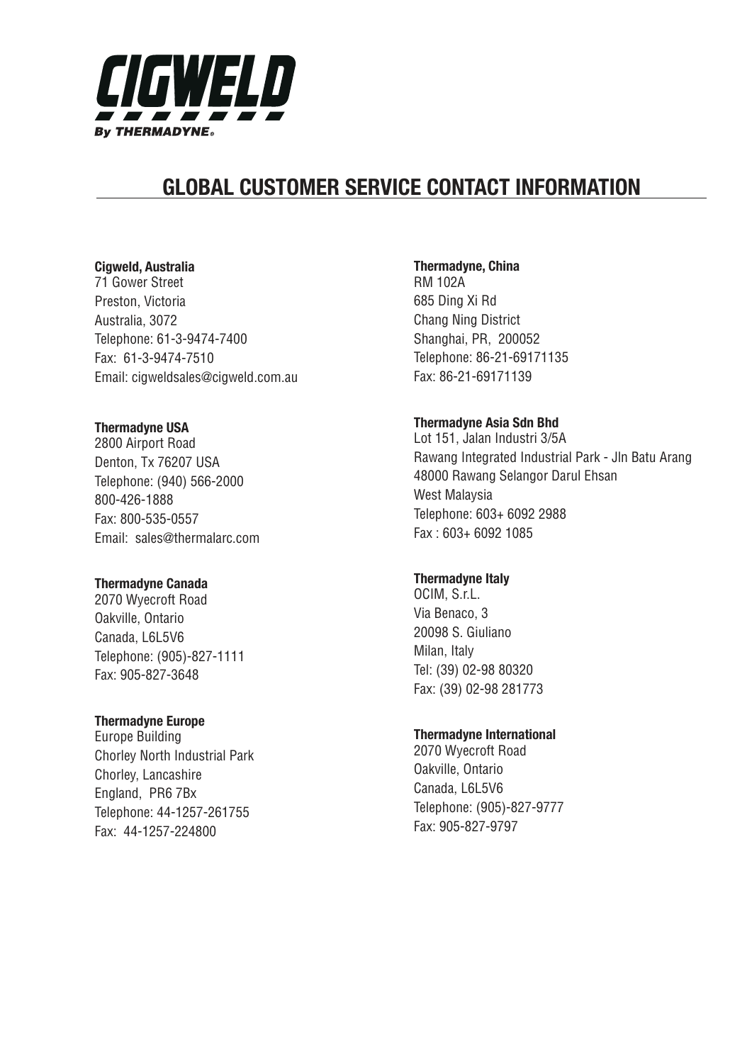

# **GLOBAL CUSTOMER SERVICE CONTACT INFORMATION**

### Cigweld, Australia

71 Gower Street Preston, Victoria Australia, 3072 Telephone: 61-3-9474-7400 Fax: 61-3-9474-7510 Email: cigweldsales@cigweld.com.au

### **Thermadyne USA**

2800 Airport Road Denton, Tx 76207 USA Telephone: (940) 566-2000 800-426-1888 Fax: 800-535-0557 Email: sales@thermalarc.com

### **Thermadyne Canada**

2070 Wyecroft Road Oakville, Ontario Canada, L6L5V6 Telephone: (905)-827-1111 Fax: 905-827-3648

### **Thermadyne Europe**

Europe Building Chorley North Industrial Park Chorley, Lancashire England, PR6 7Bx Telephone: 44-1257-261755 Fax: 44-1257-224800

### **Thermadyne, China**

RM 102A 685 Ding Xi Rd Chang Ning District Shanghai, PR, 200052 Telephone: 86-21-69171135 Fax: 86-21-69171139

### Thermadyne Asia Sdn Bhd

Lot 151, Jalan Industri 3/5A Rawang Integrated Industrial Park - Jln Batu Arang 48000 Rawang Selangor Darul Ehsan West Malaysia Telephone: 603+ 6092 2988 Fax : 603+ 6092 1085

### **Thermadyne Italy**

OCIM, S.r.L. Via Benaco, 3 20098 S. Giuliano Milan, Italy Tel: (39) 02-98 80320 Fax: (39) 02-98 281773

### **Thermadyne International**

2070 Wyecroft Road Oakville, Ontario Canada, L6L5V6 Telephone: (905)-827-9777 Fax: 905-827-9797